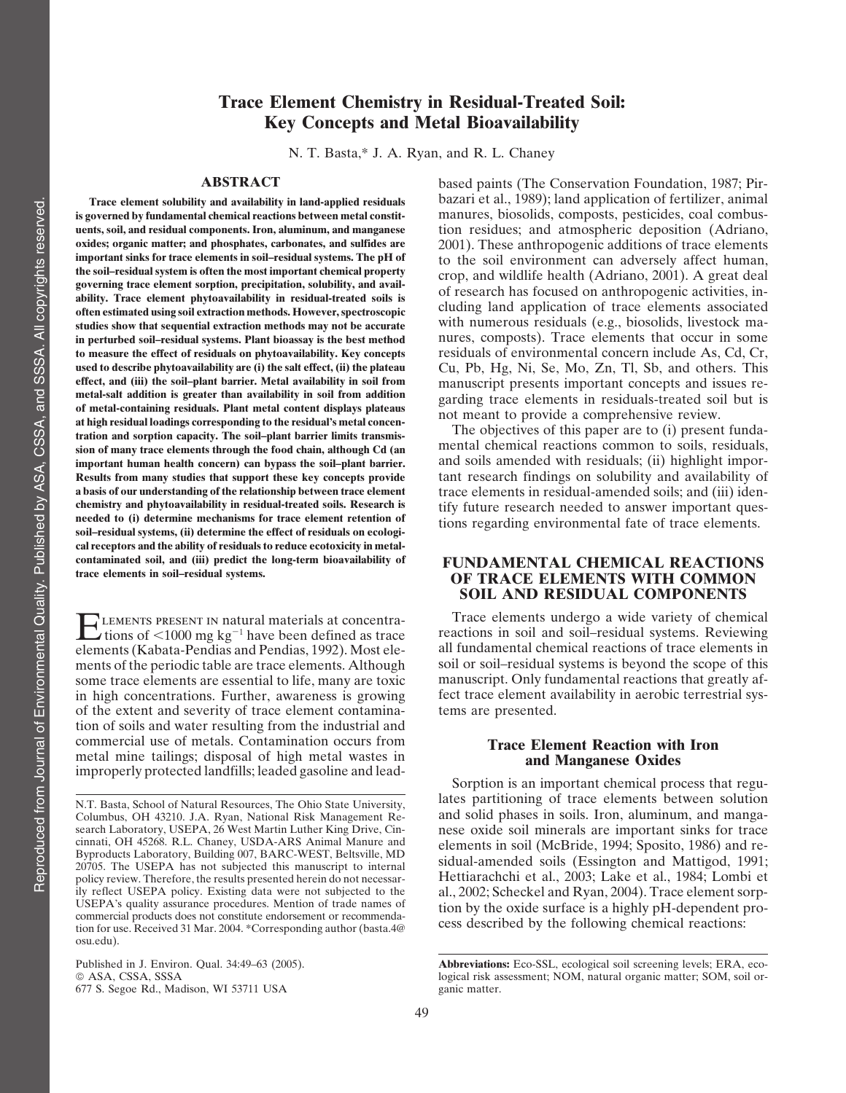## **Trace Element Chemistry in Residual-Treated Soil: Key Concepts and Metal Bioavailability**

N. T. Basta,\* J. A. Ryan, and R. L. Chaney

Trace element solubility and availability in land-applied residuals effect, and (iii) the soil-plant barrier. Metal availability in soil from<br>
manuscript presents important concepts and issues re-<br>
metal-salt addition is greater than availability in soil from addition<br>
of metal-containing needed to (i) determine mechanisms for trace element retention of<br>soil-residual systems, (ii) determine the effect of residuals on ecologi-<br>soil-residual systems, (ii) determine the effect of residuals on ecologi**cal receptors and the ability of residuals to reduce ecotoxicity in metalcontaminated soil, and (iii) predict the long-term bioavailability of FUNDAMENTAL CHEMICAL REACTIONS**<br> **CE TRACE EI EMENTS WITH COMMON** 

itions of  $\leq 1000$  mg kg<sup>-1</sup> have been defined as trace some trace elements are essential to life, many are toxic of the extent and severity of trace element contamina- tems are presented. tion of soils and water resulting from the industrial and commercial use of metals. Contamination occurs from **Trace Element Reaction with Iron Trace Element Reaction with Iron Trace Element Reaction with Iron** 

**ABSTRACT** based paints (The Conservation Foundation, 1987; Pir-<br>v and availability in land-annlied residuals bazari et al., 1989); land application of fertilizer, animal **is governed by fundamental chemical reactions between metal constit-** manures, biosolids, composts, pesticides, coal combus**uents, soil, and residual components. Iron, aluminum, and manganese** tion residues; and atmospheric deposition (Adriano, oxides; organic matter; and phosphates, carbonates, and sulfides are 2001). These anthropogenic addi **oxides; organic matter; and phosphates, carbonates, and sulfides are** 2001). These anthropogenic additions of trace elements in soil-residual systems. The pH of the soil environment can adversely affect human, important sinks for trace elements in soil–residual systems. The pH of<br>the soil environment can adversely affect human,<br>the soil–residual system is often the most important chemical property<br>governing trace element sorptio **in perturbed soil–residual systems. Plant bioassay is the best method** nures, composts). Trace elements that occur in some **to measure the effect of residuals on phytoavailability. Key concepts** residuals of environmental concern include As, Cd, Cr, **used to describe phytoavailability are (i) the salt effect, (ii) the plateau** Cu, Pb, Hg, Ni, Se, Mo, Zn, Tl, Sb, and others. This

**important human health concern) can bypass the soil-plant barrier.** and soils amended with residuals; (ii) highlight important human health concern) can bypass the soil-plant barrier. and soils amended with residuals; (ii **Results from many studies that support these key concepts provide** tant research findings on solubility and availability of a basis of our understanding of the relationship between trace element trace elements in residual a basis of our understanding of the relationship between trace element<br>
chemistry and phytoavailability in residual-treated soils. Research is<br>
trace elements in residual-amended soils; and (iii) iden-<br>
tify future researc

# **OF TRACE ELEMENTS WITH COMMON SOIL AND RESIDUAL COMPONENTS**

Trace elements undergo a wide variety of chemical<br>tions of <1000 mg kg<sup>-1</sup> have been defined as trace<br>elements (Kabata-Pendias and Pendias 1992) Most ele-<br>all fundamental chemical reactions of trace elements in reactions in soil and soil–residual systems. Reviewing elements (Kabata-Pendias and Pendias, 1992). Most ele- all fundamental chemical reactions of trace elements in<br>ments of the periodic table are trace elements. Although soil or soil–residual systems is beyond the scope of t ments of the periodic table are trace elements. Although soil or soil–residual systems is beyond the scope of this<br>some trace elements are essential to life, many are toxic manuscript. Only fundamental reactions that great in high concentrations. Further, awareness is growing fect trace element availability in aerobic terrestrial sys-

mproperly protected landfills; leaded gasoline and lead-<br>Sorption is an important chemical process that regu-<br>lates partitioning of trace elements between solution N.T. Basta, School of Natural Resources, The Ohio State University,<br>Columbus, OH 43210, J.A. Ryan, National Risk Management Resumed Solid phases in soils. Iron, aluminum, and manga-

Columbus, OH 43210. J.A. Ryan, National Risk Management Re-<br>Search Laboratory, USEPA, 26 West Martin Luther King Drive, Cin-<br>nese oxide soil minerals are important sinks for trace search Laboratory, USEPA, 26 West Martin Luther King Drive, Cine and chements in soil minerals are important sinks for trace<br>cinnati, OH 45268. R.L. Chaney, USDA-ARS Animal Manure and<br>Byproducts Laboratory, Building 007, B policy review. Therefore, the results presented herein do not necessarily reflect USEPA policy. Existing data were not subjected to the al., 2002; Scheckel and Ryan, 2004). Trace element sorp-<br>USEPA's quality assurance procedures. Mention of trade names of commercial products does not consti osu.edu).

<sup>677</sup> S. Segoe Rd., Madison, WI 53711 USA ganic matter.

Published in J. Environ. Qual. 34:49–63 (2005). **Abbreviations:** Eco-SSL, ecological soil screening levels; ERA, eco-<br>
© ASA, CSSA, SSSA (SSSA), SSSA (SSSA (SSSA ) orlogical risk assessment; NOM, natural organic matter; SOM, soil or-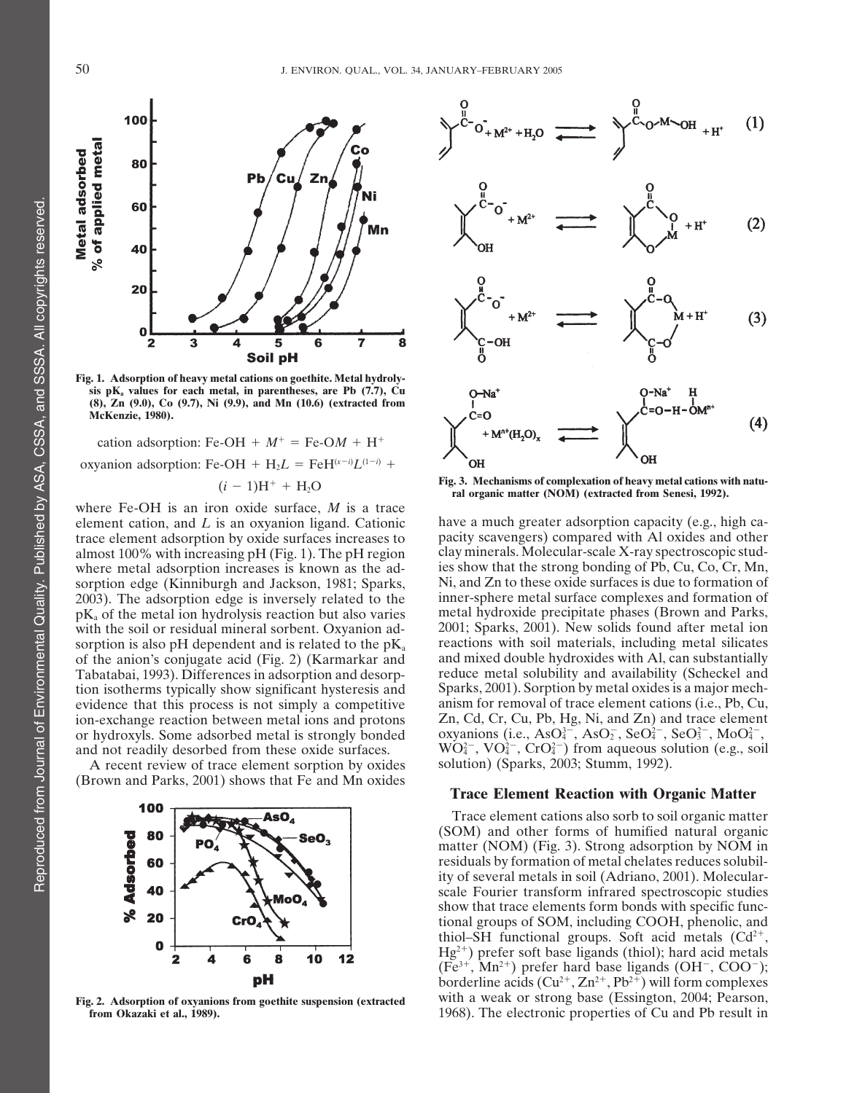

**Fig. 1. Adsorption of heavy metal cations on goethite. Metal hydroly-** $\sin pK_a$  values for each metal, in parentheses, are Pb  $(7.7)$ , Cu **(8), Zn (9.0), Co (9.7), Ni (9.9), and Mn (10.6) (extracted from McKenzie, 1980).**

cation adsorption: Fe-OH  $+ M^+$  = Fe-OM  $+ H^+$ oxyanion adsorption: Fe-OH +  $H_2L$  = FeH<sup>( $x-i$ </sup>) $L^{(1-i)}$  +

where Fe-OH is an iron oxide surface, *M* is a trace element cation, and *L* is an oxyanion ligand. Cationic have a much greater adsorption capacity (e.g., high catrace element adsorption by oxide surfaces increases to pacity scavengers) compared with Al oxides and other trace element adsorption by oxide surfaces increases to pacity scavengers) compared with Al oxides and other almost 100% with increasing pH (Fig. 1). The pH region clay minerals. Molecular-scale X-ray spectroscopic studalmost 100% with increasing pH (Fig. 1). The pH region clay minerals. Molecular-scale X-ray spectroscopic stud-<br>where metal adsorption increases is known as the ad-<br>ies show that the strong bonding of Pb, Cu, Co, Cr, Mn, where metal adsorption increases is known as the ad-<br>sorption edge (Kinniburgh and Jackson, 1981; Sparks, Ni, and Zn to these oxide surfaces is due to formation of sorption edge (Kinniburgh and Jackson, 1981; Sparks, Ni, and Zn to these oxide surfaces is due to formation of<br>2003). The adsorption edge is inversely related to the inner-sphere metal surface complexes and formation of 2003). The adsorption edge is inversely related to the inner-sphere metal surface complexes and formation of  $pK_a$  of the metal ion hydrolysis reaction but also varies metal hydroxide precipitate phases (Brown and Parks,  $pK_a$  of the metal ion hydrolysis reaction but also varies with the soil or residual mineral sorbent. Oxyanion ad-<br>sorption is also pH dependent and is related to the pK, reactions with soil materials, including metal silicates sorption is also pH dependent and is related to the  $pK_a$  reactions with soil materials, including metal silicates of the anion's conjugate acid (Fig. 2) (Karmarkar and and mixed double hydroxides with Al, can substantial of the anion's conjugate acid (Fig. 2) (Karmarkar and and mixed double hydroxides with Al, can substantially contained and mixed double hydroxides with Al, can substantially and availability (Scheckel and mixed oublier) re Tabatabai, 1993). Differences in adsorption and desorp- reduce metal solubility and availability (Scheckel and tion isotherms typically show significant hysteresis and Sparks, 2001). Sorption by metal oxides is a major mech-<br>evidence that this process is not simply a competitive anism for removal of trace element cations (i.e., Pb, evidence that this process is not simply a competitive anism for removal of trace element cations (i.e., Pb, Cu, ion-exchange reaction between metal ions and protons Zn, Cd, Cr, Cu, Pb, Hg, Ni, and Zn) and trace element ion-exchange reaction between metal ions and protons or hydroxyls. Some adsorbed metal is strongly bonded oxyanions (i.e., AsO $_4^3$ , AsO $_2^7$ , SeO $_4^{2-}$ , SeO $_3^{2-}$ , MoO $_4^{2-}$ ,

A recent review of trace element sorption by oxides





 $(i-1)H^+ + H_2O$  Fig. 3. Mechanisms of complexation of heavy metal cations with natural organic matter (NOM) (extracted from Senesi, 1992).

 $WO_4^{2-}$ ,  $VO_4^{2-}$ ,  $CrO_4^{2-}$ and not readily desorbed from these oxide surfaces.  $WO_4^2$ ,  $VO_4^2$ ,  $CO_4^{2-}$ ,  $C_4^2$ ) from aqueous so<br>A recent review of trace element sorption by oxides solution (Sparks, 2003; Stumm, 1992).

Trace element cations also sorb to soil organic matter (SOM) and other forms of humified natural organic matter (NOM) (Fig. 3). Strong adsorption by NOM in residuals by formation of metal chelates reduces solubility of several metals in soil (Adriano, 2001). Molecularscale Fourier transform infrared spectroscopic studies show that trace elements form bonds with specific functional groups of SOM, including COOH, phenolic, and thiol–SH functional groups. Soft acid metals  $(Cd^{2+},$  $Hg^{2+}$ ) prefer soft base ligands (thiol); hard acid metals  $(Fe^{3+}, Mn^{2+})$  prefer hard base ligands (OH<sup>-</sup>, COO<sup>-</sup>); borderline acids  $(Cu^{2+}, Zn^{2+}, Pb^{2+})$  will form complexes **Fig. 2. Adsorption of oxyanions from goethite suspension (extracted** with a weak or strong base (Essington, 2004; Pearson, **from Okazaki et al., 1989).** 1968). The electronic properties of Cu and Pb result in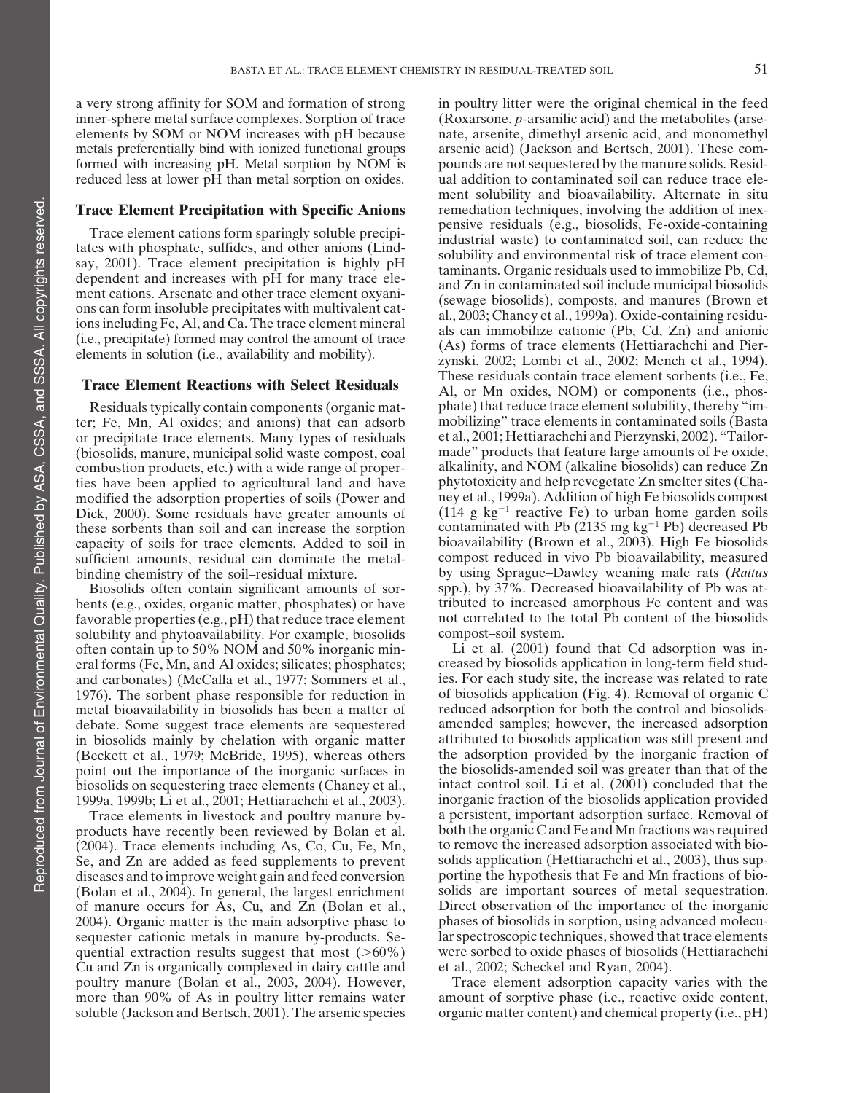a very strong affinity for SOM and formation of strong in poultry litter were the original chemical in the feed

modified the adsorption properties of soils (Power and Dick, 2000). Some residuals have greater amounts of sufficient amounts, residual can dominate the metal-

favorable properties (e.g.,  $pH$ ) that reduce trace element not correlated to the solubility and phytoavailability. For example, biosolids compost-soil system. solubility and phytoavailability. For example, biosolids compost–soil system.<br>often contain up to 50% NOM and 50% inorganic min-<br>Li et al. (2001) found that Cd adsorption was inand carbonates) (McCalla et al., 1977; Sommers et al., metal bioavailability in biosolids has been a matter of (Beckett et al., 1979; McBride, 1995), whereas others

diseases and to improve weight gain and feed conversion of manure occurs for As, Cu, and Zn (Bolan et al., sequester cationic metals in manure by-products. Sequential extraction results suggest that most ( $>60\%$ ) Cu and Zn is organically complexed in dairy cattle and et al., 2002; Scheckel and Ryan, 2004). poultry manure (Bolan et al., 2003, 2004). However,

inner-sphere metal surface complexes. Sorption of trace (Roxarsone, *p*-arsanilic acid) and the metabolites (arseelements by SOM or NOM increases with pH because nate, arsenite, dimethyl arsenic acid, and monomethyl metals preferentially bind with ionized functional groups arsenic acid) (Jackson and Bertsch, 2001). These comformed with increasing pH. Metal sorption by NOM is pounds are not sequestered by the manure solids. Residreduced less at lower pH than metal sorption on oxides. ual addition to contaminated soil can reduce trace element solubility and bioavailability. Alternate in situ **Trace Element Precipitation with Specific Anions** remediation techniques, involving the addition of inex-<br>
residuals (e.g., biosolids, Fe-oxide-containing Trace element cations form sparingly soluble precipi-<br>tates with phosphate, sulfides, and other anions (Lind-<br>say, 2001). Trace element precipitation is highly pH<br>dependent and increases with pH for many trace element com **Trace Element Reactions with Select Residuals** These residuals contain trace element sorbents (i.e., Fe, phos-<br>Al, or Mn oxides, NOM) or components (i.e., phos-Residuals typically contain components (organic mat-<br>
r: Fe, Mn, Al oxides: and anions) that can adsorb mobilizing" trace elements in contaminated soils (Basta ter; Fe, Mn, Al oxides; and anions) that can adsorb mobilizing" trace elements in contaminated soils (Basta<br>or precipitate trace elements. Many types of residuals et al., 2001; Hettiarachchi and Pierzynski, 2002). "Tailoror precipitate trace elements. Many types of residuals et al., 2001; Hettiarachchi and Pierzynski, 2002). "Tailor-<br>(biosolids, manure, municipal solid waste compost, coal made" products that feature large amounts of Fe oxi (biosolids, manure, municipal solid waste compost, coal made" products that feature large amounts of Fe oxide, combustion products, etc.) with a wide range of proper-<br>alkalinity, and NOM (alkaline biosolids) can reduce Zn combustion products, etc.) with a wide range of proper-<br>ties have been applied to agricultural land and have phytotoxicity and help revegetate Zn smelter sites (Chaties have been applied to agricultural land and have phytotoxicity and help revegetate Zn smelter sites (Cha-<br>modified the adsorption properties of soils (Power and never al., 1999a). Addition of high Fe biosolids compost  $(114 \text{ g kg}^{-1} \text{ reactive Fe})$  to urban home garden soils contaminated with Pb  $(2135 \text{ mg kg}^{-1} \text{ Pb})$  decreased Pb these sorbents than soil and can increase the sorption contaminated with Pb (2135 mg  $kg^{-1}$  Pb) decreased Pb capacity of soils for trace elements. Added to soil in bioavailability (Brown et al., 2003). High Fe biosolids capacity of soils for trace elements. Added to soil in bioavailability (Brown et al., 2003). High Fe biosolids binding chemistry of the soil–residual mixture. by using Sprague–Dawley weaning male rats (*Rattus* Biosolids often contain significant amounts of sor- spp.), by 37%. Decreased bioavailability of Pb was atbents (e.g., oxides, organic matter, phosphates) or have tributed to increased amorphous Fe content and was favorable properties (e.g., pH) that reduce trace element of the total Pb content of the biosolids

often contain up to 50% NOM and 50% inorganic min-<br>
eral forms (Fe. Mn. and Al oxides: silicates: phosphates: creased by biosolids application in long-term field studeral forms (Fe, Mn, and Al oxides; silicates; phosphates; creased by biosolids application in long-term field stud-<br>and carbonates) (McCalla et al., 1977: Sommers et al., i.es. For each study site, the increase was related 1976). The sorbent phase responsible for reduction in of biosolids application (Fig. 4). Removal of organic C metal bioavailability in biosolids has been a matter of reduced adsorption for both the control and biosolidsdebate. Some suggest trace elements are sequestered amended samples; however, the increased adsorption in biosolids mainly by chelation with organic matter attributed to biosolids application was still present and in biosolids mainly by chelation with organic matter attributed to biosolids application was still present and<br>(Beckett et al., 1979: McBride, 1995), whereas others the adsorption provided by the inorganic fraction of point out the importance of the inorganic surfaces in the biosolids-amended soil was greater than that of the biosolids on sequestering trace elements (Chaney et al., intact control soil. Li et al. (2001) concluded that the 1999a. 1999b: Li et al. 2001: Hettiarachchi et al. 2003). inorganic fraction of the biosolids application pr 1999a, 1999b; Li et al., 2001; Hettiarachchi et al., 2003). inorganic fraction of the biosolids application provided Trace elements in livestock and poultry manure by-<br>
oducts have recently been reviewed by Bolan et al. both the organic C and Fe and Mn fractions was required products have recently been reviewed by Bolan et al. both the organic C and Fe and Mn fractions was required  $(2004)$ . Trace elements including As. Co. Cu. Fe. Mn. to remove the increased adsorption associated with bio-(2004). Trace elements including As, Co, Cu, Fe, Mn, to remove the increased adsorption associated with bio-<br>Se, and Zn are added as feed supplements to prevent solids application (Hettiarachchi et al., 2003), thus sup-Se, and Zn are added as feed supplements to prevent solids application (Hettiarachchi et al., 2003), thus sup-<br>diseases and to improve weight gain and feed conversion porting the hypothesis that Fe and Mn fractions of bio-(Bolan et al., 2004). In general, the largest enrichment solids are important sources of metal sequestration.<br>
of manure occurs for As, Cu, and Zn (Bolan et al., Direct observation of the importance of the inorganic 2004). Organic matter is the main adsorptive phase to phases of biosolids in sorption, using advanced molecused under the main adsorptive phase to phases of biosolids in sorption, using advanced molecused enteries sequeste were sorbed to oxide phases of biosolids (Hettiarachchi

more than 90% of As in poultry litter remains water amount of sorptive phase (i.e., reactive oxide content, soluble (Jackson and Bertsch, 2001). The arsenic species organic matter content) and chemical property (i.e., pH)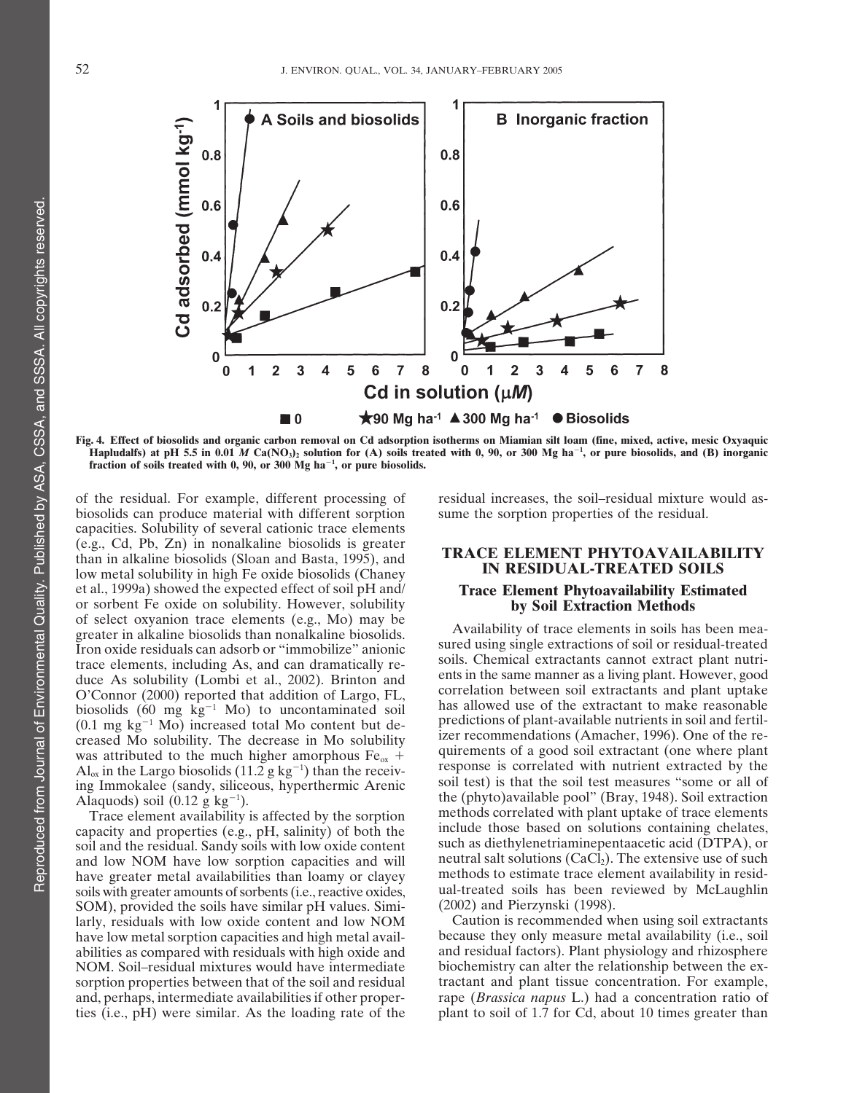

**Fig. 4. Effect of biosolids and organic carbon removal on Cd adsorption isotherms on Miamian silt loam (fine, mixed, active, mesic Oxyaquic** Hapludalfs) at pH 5.5 in 0.01 *M* Ca(NO<sub>3</sub>)<sub>2</sub> solution for (A) soils treated with 0, 90, or 300 Mg ha<sup>-1</sup>, or pure biosolids, and (B) inorganic **fraction of soils treated with 0, 90, or 300 Mg ha**-**1 , or pure biosolids.**

biosolids can produce material with different sorption sume the sorption properties of the residual. capacities. Solubility of several cationic trace elements (e.g., Cd, Pb, Zn) in nonalkaline biosolids is greater than in alkaline biosolids (Sloan and Basta, 1995), and **TRACE ELEMENT PHYTOAVAILABILITY** low metal solubility in high Fe oxide biosolids (Chaney et al., 1999a) showed the expected effect of soil pH and/<br>or sorbent Fe oxide on solubility. However, solubility<br>of select oxyanion trace elements (e.g., Mo) may be<br>greater in alkaline biosolids than nonalkaline biosolids. biosolids (60 mg kg<sup>-1</sup> Mo) to uncontaminated soil Alaquods) soil  $(0.12 \text{ g kg}^{-1})$ .

have greater metal availabilities than loamy or clayey SOM), provided the soils have similar pH values. Simi-<br>larly, residuals with low oxide content and low NOM Caution is recommended when using soil extractants larly, residuals with low oxide content and low NOM Caution is recommended when using soil extractants<br>have low metal sorption capacities and high metal avail-<br>because they only measure metal availability (i.e., soil NOM. Soil–residual mixtures would have intermediate

of the residual. For example, different processing of residual increases, the soil–residual mixture would as-

duce As solubility (Lombi et al., 2002). Brinton and<br>O'Connor (2000) reported that addition of Largo, FL,<br>biosolids (60 mg kg<sup>-1</sup> Mo) to upcontaminated soil has allowed use of the extractant to make reasonable  $(0.1 \text{ mg kg}^{-1} \text{ Mo})$  increased total Mo content but dependence of plant-available nutrients in soil and fertil-The decreased total Mo solubility. The decrease in Mo solubility izer recommendations (Amacher, 1996). One of the re-<br>was attributed to the much higher amorphous  $Fe +$  quirements of a good soil extractant (one where plant was attributed to the much higher amorphous  $Fe_{ox}$  + quirements or a good soil extractant (one where plant  $\Delta$ ) is the Largo biosolids (11.2 g kg<sup>-1</sup>) than the receiv- response is correlated with nutrient extracted by th  $\text{Al}_{\text{ox}}$  in the Largo biosolids (11.2 g kg<sup>-1</sup>) than the receiv-<br>response is correlated with nutrient extracted by the ing Immokalee (sandy, siliceous, hyperthermic Arenic soil test) is that the soil test measures "some or all of the (phyto)available pool" (Bray, 1948). Soil extraction Trace element availability is affected by the sorption methods correlated with plant uptake of trace elements  $\frac{1}{2}$  matrix and properties (e.g. pH salinity) of both the include those based on solutions containing chel capacity and properties (e.g., pH, salinity) of both the include those based on solutions containing chelates,<br>soil and the residual. Sandy soils with low oxide content such as diethylenetriamine pentaacetic acid (DTPA), soils with greater amounts of sorbents (i.e., reactive oxides, ual-treated soils has been reviewed by McLaughlin SOM), provided the soils have similar pH values. Simi- (2002) and Pierzynski (1998).

have low metal sorption capacities and high metal avail-<br>abilities as compared with residuals with high oxide and and residual factors). Plant physiology and rhizosphere abilities as compared with residuals with high oxide and and residual factors). Plant physiology and rhizosphere<br>NOM. Soil–residual mixtures would have intermediate biochemistry can alter the relationship between the exsorption properties between that of the soil and residual tractant and plant tissue concentration. For example, and, perhaps, intermediate availabilities if other proper- rape (*Brassica napus* L.) had a concentration ratio of ties (i.e., pH) were similar. As the loading rate of the plant to soil of 1.7 for Cd, about 10 times greater than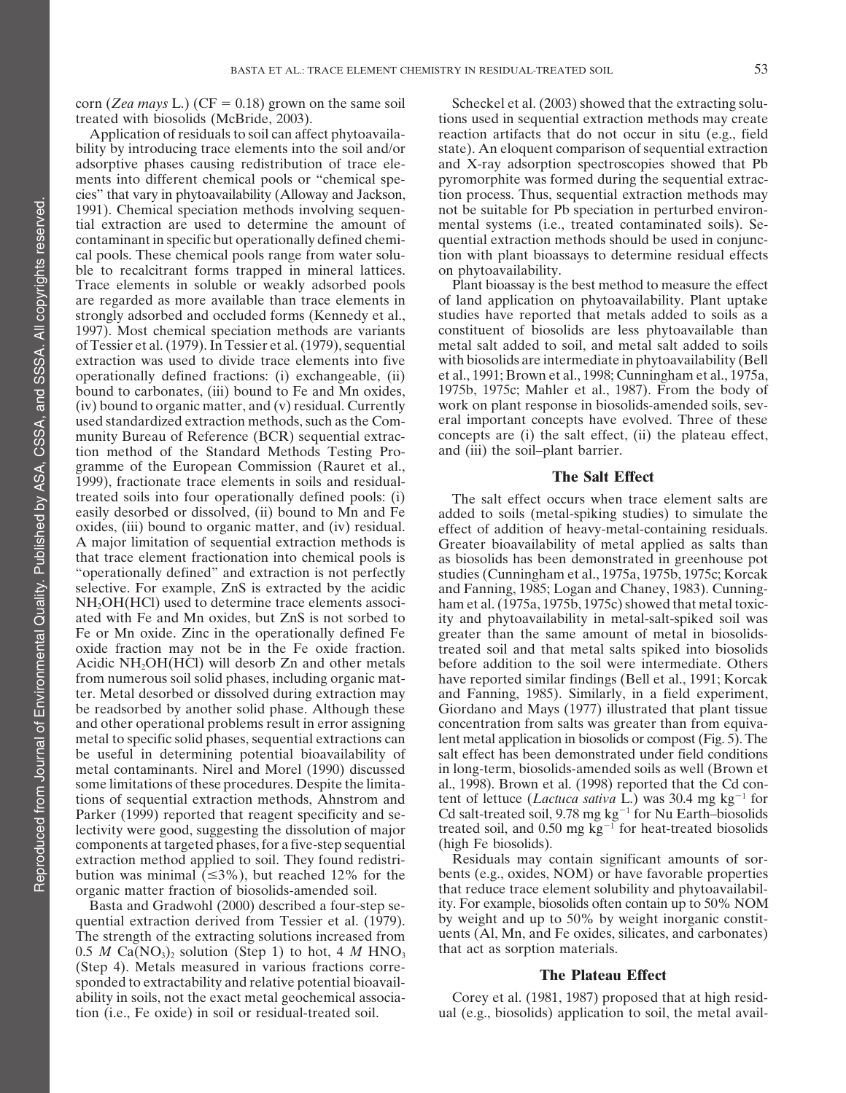ble to recalcitrant forms trapped in mineral lattices. on phytoavailability. Trace elements in soluble or weakly adsorbed pools Plant bioassay is the best method to measure the effect operationally defined fractions: (i) exchangeable, (ii) bound to carbonates, (iii) bound to Fe and Mn oxides,  $(iv)$  bound to organic matter, and  $(v)$  residual. Currently tion method of the Standard Methods Testing Pro-<br>gramme of the European Commission (Rauret et al., gramme of the European Commission (Rauret et al., **The Salt Effect** 1999), fractionate trace elements in soils and residualtreated soils into four operationally defined pools: (i) The salt effect occurs when trace element salts are easily desorbed or dissolved, (ii) bound to Mn and Fe added to soils (metal-spiking studies) to simulate the metal contaminants. Nirel and Morel (1990) discussed some limitations of these procedures. Despite the limitacomponents at targeted phases, for a five-step sequential (high Fe biosolids). bution was minimal ( $\leq 3\%$ ), but reached 12% for the

 $0.5$  *M* Ca(NO<sub>3</sub>)<sub>2</sub> solution (Step 1) to hot, 4 *M* HNO<sub>3</sub> (Step 4). Metals measured in various fractions corre- **The Plateau Effect** sponded to extractability and relative potential bioavailability in soils, not the exact metal geochemical associa- Corey et al. (1981, 1987) proposed that at high resid-

corn (*Zea mays* L.) (CF = 0.18) grown on the same soil Scheckel et al. (2003) showed that the extracting solutreated with biosolids (McBride, 2003). tions used in sequential extraction methods may create Application of residuals to soil can affect phytoavaila-<br>reaction artifacts that do not occur in situ (e.g., field bility by introducing trace elements into the soil and/or state). An eloquent comparison of sequential extraction adsorptive phases causing redistribution of trace ele- and X-ray adsorption spectroscopies showed that Pb ments into different chemical pools or "chemical spe- pyromorphite was formed during the sequential extraccies" that vary in phytoavailability (Alloway and Jackson, tion process. Thus, sequential extraction methods may 1991). Chemical speciation methods involving sequen- not be suitable for Pb speciation in perturbed environtial extraction are used to determine the amount of mental systems (i.e., treated contaminated soils). Secontaminant in specific but operationally defined chemi- quential extraction methods should be used in conjunccal pools. These chemical pools range from water solu- tion with plant bioassays to determine residual effects

are regarded as more available than trace elements in of land application on phytoavailability. Plant uptake strongly adsorbed and occluded forms (Kennedy et al., studies have reported that metals added to soils as a 1997). Most chemical speciation methods are variants constituent of biosolids are less phytoavailable than of Tessier et al. (1979). In Tessier et al. (1979), sequential metal salt added to soil, and metal salt added to soils extraction was used to divide trace elements into five with biosolids are intermediate in phytoavailability (Bell<br>operationally defined fractions: (i) exchangeable, (ii) et al., 1991; Brown et al., 1998; Cunningham et al., 1975b, 1975c; Mahler et al., 1987). From the body of work on plant response in biosolids-amended soils, sevused standardized extraction methods, such as the Com- eral important concepts have evolved. Three of these munity Bureau of Reference (BCR) sequential extrac-<br>tion method of the Standard Methods Testing Pro-<br>and (iii) the soil-plant barrier.

easily desorbed or dissolved, (ii) bound to Mn and Fe added to soils (metal-spiking studies) to simulate the oxides, (iii) bound to organic matter, and (iv) residual.<br>A maior limitation of sequential extraction methods is A major limitation of sequential extraction methods is Greater bioavailability of metal applied as salts than that trace element fractionation into chemical pools is as biosolids has been demonstrated in greenhouse pot as biosolids has been demonstrated in greenhouse pot "operationally defined" and extraction is not perfectly studies (Cunningham et al., 1975a, 1975b, 1975c; Korcak and Fanning, 1985; Logan and Chaney, 1983). Cunning-NH<sub>2</sub>OH(HCl) used to determine trace elements associ-<br>ham et al. (1975a, 1975b, 1975c) showed that metal toxicated with Fe and Mn oxides, but ZnS is not sorbed to ity and phytoavailability in metal-salt-spiked soil was Fe or Mn oxide. Zinc in the operationally defined Fe greater than the same amount of metal in biosolids-<br>oxide fraction may not be in the Fe oxide fraction. It eated soil and that metal salts spiked into biosolids treated soil and that metal salts spiked into biosolids. Acidic NH<sub>2</sub>OH(HCl) will desorb Zn and other metals before addition to the soil were intermediate. Others from numerous soil solid phases, including organic mat-<br>have reported similar findings (Bell et al., 1991; Korcak have reported similar findings (Bell et al., 1991; Korcak ter. Metal desorbed or dissolved during extraction may and Fanning, 1985). Similarly, in a field experiment, be readsorbed by another solid phase. Although these Giordano and Mays (1977) illustrated that plant tissue and other operational problems result in error assigning concentration from salts was greater than from equivametal to specific solid phases, sequential extractions can lent metal application in biosolids or compost (Fig. 5). The be useful in determining potential bioavailability of salt effect has been demonstrated under field conditions metal contaminants. Nirel and Morel (1990) discussed in long-term, biosolids-amended soils as well (Brown et al., 1998). Brown et al. (1998) reported that the Cd contions of sequential extraction methods, Ahnstrom and tent of lettuce (*Lactuca sativa* L.) was 30.4 mg kg<sup>-1</sup> for Parker (1999) reported that reagent specificity and se- Cd salt-treated soil, 9.78 mg kg<sup>-1</sup> for Nu Earth–biosolids lectivity were good, suggesting the dissolution of major freated soil, and 0.50 mg  $kg^{-1}$  for heat-treated biosolids

extraction method applied to soil. They found redistri-<br>bution was minimal  $(\leq 3\%)$ , but reached 12% for the bents (e.g., oxides, NOM) or have favorable properties organic matter fraction of biosolids-amended soil. that reduce trace element solubility and phytoavailabil-Basta and Gradwohl (2000) described a four-step se- ity. For example, biosolids often contain up to 50% NOM quential extraction derived from Tessier et al. (1979). by weight and up to 50% by weight inorganic constit-The strength of the extracting solutions increased from uents (Al, Mn, and Fe oxides, silicates, and carbonates)  $0.5 M \text{ Ca(NO<sub>2</sub>)}$ , solution (Step 1) to hot 4 M HNO<sub>2</sub> that act as sorption materials.

tion (i.e., Fe oxide) in soil or residual-treated soil. ual (e.g., biosolids) application to soil, the metal avail-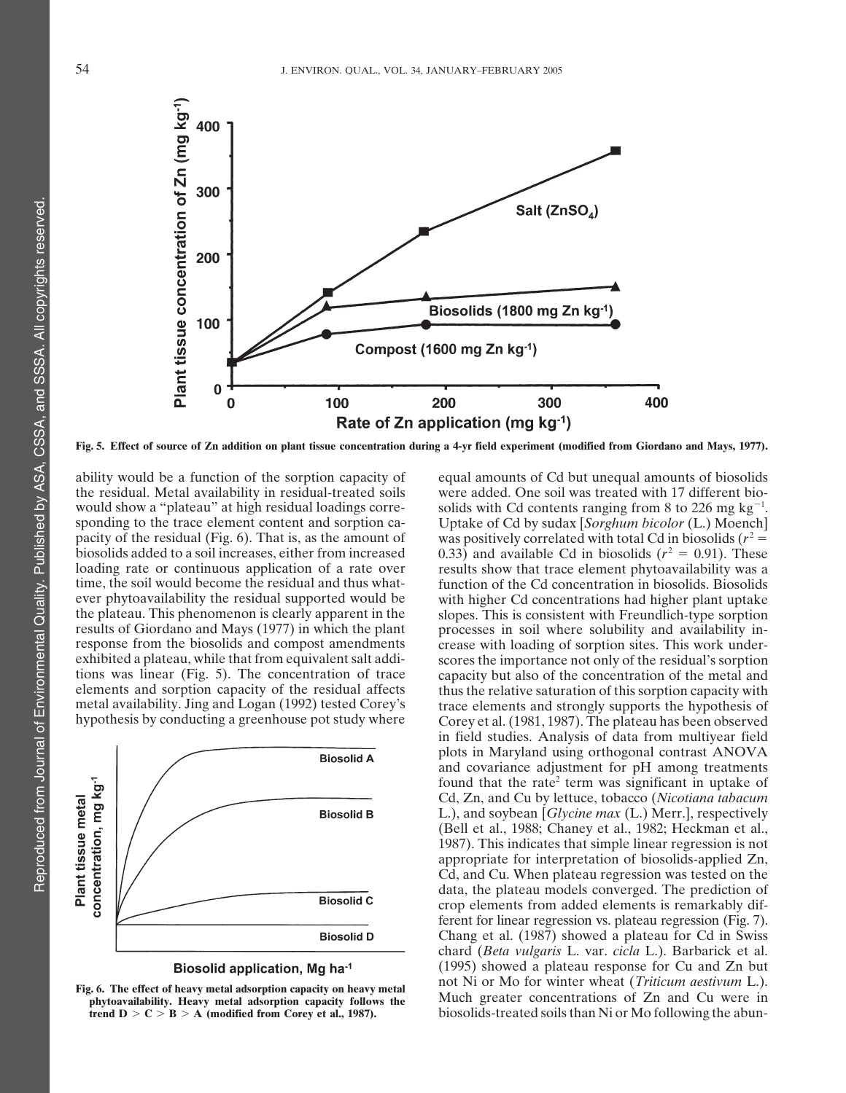

**Fig. 5. Effect of source of Zn addition on plant tissue concentration during a 4-yr field experiment (modified from Giordano and Mays, 1977).**

would show a "plateau" at high residual loadings correpacity of the residual (Fig. 6). That is, as the amount of



Biosolid application, Mg ha-1

**phytoavailability. Heavy metal adsorption capacity follows the trend**  $D > C > B > A$  **(modified from Corey et al., 1987).** 

ability would be a function of the sorption capacity of equal amounts of Cd but unequal amounts of biosolids the residual. Metal availability in residual-treated soils were added. One soil was treated with 17 different bio-1 . sponding to the trace element content and sorption ca-<br>pacity of the residual (Fig. 6). That is, as the amount of was positively correlated with total Cd in biosolids ( $r^2$  = biosolids added to a soil increases, either from increased 0.33) and available Cd in biosolids  $(r^2 = 0.91)$ . These loading rate or continuous application of a rate over results show that trace element phytoavailability wa loading rate or continuous application of a rate over results show that trace element phytoavailability was a time, the soil would become the residual and thus what-<br>function of the Cd concentration in biosolids. Biosolids time, the soil would become the residual and thus what-<br>
ever phytoavailability the residual supported would be with higher Cd concentrations had higher plant uptake ever phytoavailability the residual supported would be with higher Cd concentrations had higher plant uptake the plateau. This phenomenon is clearly apparent in the slopes. This is consistent with Freundlich-type sorption the plateau. This phenomenon is clearly apparent in the slopes. This is consistent with Freundlich-type sorption results of Giordano and Mays (1977) in which the plant processes in soil where solubility and availability in results of Giordano and Mays (1977) in which the plant processes in soil where solubility and availability in-<br>response from the biosolids and compost amendments crease with loading of sorption sites. This work underresponse from the biosolids and compost amendments crease with loading of sorption sites. This work under-<br>exhibited a plateau, while that from equivalent salt addi-<br>scores the importance not only of the residual's sorptio exhibited a plateau, while that from equivalent salt addi-<br>tions was linear (Fig. 5). The concentration of trace<br>elements and sorption capacity of the residual affects<br>thus the relative saturation of this sorption capacity elements and sorption capacity of the residual affects<br>metal availability. Jing and Logan (1992) tested Corey's<br>hypothesis by conducting a greenhouse pot study where Corey et al. (1981, 1987). The plateau has been observed Corey et al. (1981, 1987). The plateau has been observed in field studies. Analysis of data from multiyear field plots in Maryland using orthogonal contrast ANOVA and covariance adjustment for pH among treatments found that the rate<sup>2</sup> term was significant in uptake of Cd, Zn, and Cu by lettuce, tobacco (*Nicotiana tabacum* L.), and soybean [*Glycine max* (L.) Merr.], respectively (Bell et al., 1988; Chaney et al., 1982; Heckman et al., 1987). This indicates that simple linear regression is not appropriate for interpretation of biosolids-applied Zn, Cd, and Cu. When plateau regression was tested on the data, the plateau models converged. The prediction of crop elements from added elements is remarkably different for linear regression vs. plateau regression (Fig. 7). Chang et al. (1987) showed a plateau for Cd in Swiss chard (*Beta vulgaris* L. var. *cicla* L.). Barbarick et al. (1995) showed a plateau response for Cu and Zn but not Ni or Mo for winter wheat (*Triticum aestivum* L.). **Fig. 6. The effect of heavy metal adsorption capacity on heavy metal biosolids-treated soils than Ni or Mo following the abun-**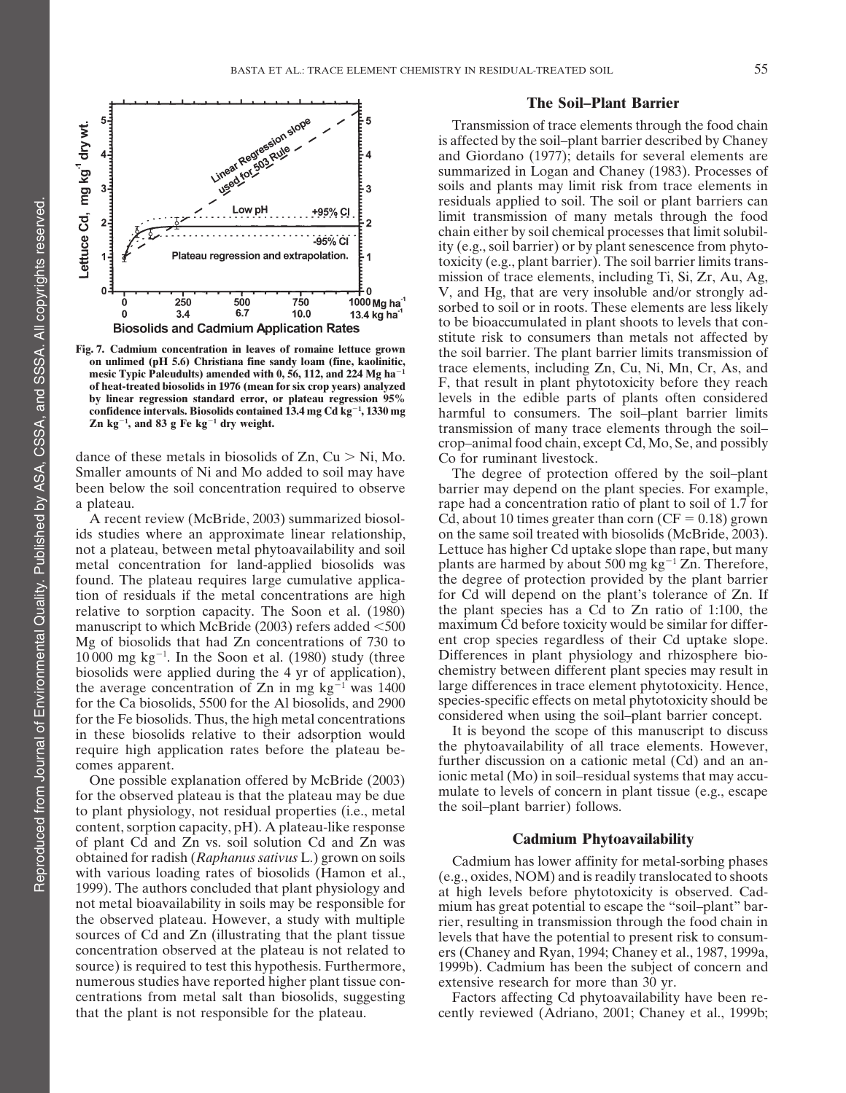



mesic Typic Paleudults) amended with  $0, 56, 112,$  and 224 Mg ha<sup> $-$ 1</sup> of heat-treated biosolids in 1976 (mean for six crop years) analyzed **confidence intervals. Biosolids contained 13.4 mg Cd kg**-**1 1 , and 83 g Fe kg**-

dance of these metals in biosolids of  $Zn$ ,  $Cu > Ni$ , Mo. Co for ruminant livestock. Smaller amounts of Ni and Mo added to soil may have The degree of protection offered by the soil–plant been below the soil concentration required to observe barrier may depend on the plant species. For example, a plateau. rape had a concentration ratio of plant to soil of 1.7 for

Mg of biosolids that had Zn concentrations of 730 to  $10000$  mg kg<sup>-1</sup>. In the Soon et al. (1980) study (three the average concentration of Zn in mg  $kg^{-1}$  was 1400 for the Ca biosolids, 5500 for the Al biosolids, and 2900 species-specific effects on metal phytotoxicity should be<br>for the Fe biosolids. Thus, the high metal concentrations considered when using the soil–plant barrier con for the Fe biosolids. Thus, the high metal concentrations<br>in these biosolids relative to their adsorption would<br>require high application rates before the plateau be-<br>comes apparent.<br>One possible explanation offered by McBr

for the observed plateau is that the plateau may be due  $\frac{mulate}{the}$  follows. to plant physiology, not residual properties (i.e., metal  $\frac{mulate}{the}$  soil–plant barrier) follows. content, sorption capacity, pH). A plateau-like response of plant Cd and Zn vs. soil solution Cd and Zn was **Cadmium Phytoavailability** obtained for radish (*Raphanus sativus* L.) grown on soils<br>with various loading rates of biosolids (Hamon et al.,<br>1999). The authors concluded that plant physiology and<br>not metal bioavailability in soils may be responsible numerous studies have reported higher plant tissue con-<br>extensive research for more than 30 yr. centrations from metal salt than biosolids, suggesting Factors affecting Cd phytoavailability have been re-

## **The Soil–Plant Barrier**

Transmission of trace elements through the food chain is affected by the soil–plant barrier described by Chaney and Giordano (1977); details for several elements are summarized in Logan and Chaney (1983). Processes of soils and plants may limit risk from trace elements in residuals applied to soil. The soil or plant barriers can limit transmission of many metals through the food chain either by soil chemical processes that limit solubility (e.g., soil barrier) or by plant senescence from phytotoxicity (e.g., plant barrier). The soil barrier limits transmission of trace elements, including Ti, Si, Zr, Au, Ag, V, and Hg, that are very insoluble and/or strongly adsorbed to soil or in roots. These elements are less likely to be bioaccumulated in plant shoots to levels that constitute risk to consumers than metals not affected by Fig. 7. Cadmium concentration in leaves of romaine lettuce grown<br>on unlimed (pH 5.6) Christiana fine sandy loam (fine, kaolinitic,<br>mesic Typic Paleudults) amended with 0, 56, 112, and 224 Mg ha<sup>-1</sup><br>of heat-treated biosoli **by linear regression standard error, or plateau regression 95%** levels in the edible parts of plants often considered harmful to consumers. The soil–plant barrier limits transmission of many trace elements through the soil– crop–animal food chain, except Cd, Mo, Se, and possibly

barrier may depend on the plant species. For example, A recent review (McBride, 2003) summarized biosol- Cd, about 10 times greater than corn (CF = 0.18) grown ids studies where an approximate linear relationship, on the same soil treated with biosolids (McBride, 2003). not a plateau, between metal phytoavailability and soil Lettuce has higher Cd uptake slope than rape, but many metal concentration for land-applied biosolids was plants are harmed by about 500 mg  $kg^{-1} Zn$ . Therefore, found. The plateau requires large cumulative applica-<br>the degree of protection provided by the plant barrier plants are harmed by about 500 mg  $kg^{-1} Zn$ . Therefore, found. The plateau requires large cumulative applica-<br>tion of residuals if the metal concentrations are high for Cd will depend on the plant's tolerance of Zn. If tion of residuals if the metal concentrations are high for Cd will depend on the plant's tolerance of Zn. If relative to sorption capacity. The Soon et al. (1980) the plant species has a Cd to Zn ratio of 1:100, the relative to sorption capacity. The Soon et al. (1980) the plant species has a Cd to Zn ratio of 1:100, the manuscript to which McBride (2003) refers added <500 maximum Cd before toxicity would be similar for differmanuscript to which McBride (2003) refers added <500 maximum Cd before toxicity would be similar for differ-<br>Mg of biosolids that had Zn concentrations of 730 to ent crop species regardless of their Cd uptake slope. Differences in plant physiology and rhizosphere biobiosolids were applied during the 4 yr of application), chemistry between different plant species may result in large differences in trace element phytotoxicity. Hence, species-specific effects on metal phytotoxicity should be

One possible explanation offered by McBride (2003) included in soil–residual systems that may accu-<br>In the observed plateau is that the plateau may be due in mulate to levels of concern in plant tissue (e.g., escape

concentration observed at the plateau is not related to ers (Chaney and Ryan, 1994; Chaney et al., 1987, 1999a, source) is required to test this hypothesis. Furthermore, 1999b). Cadmium has been the subject of concern and

that the plant is not responsible for the plateau. cently reviewed (Adriano, 2001; Chaney et al., 1999b;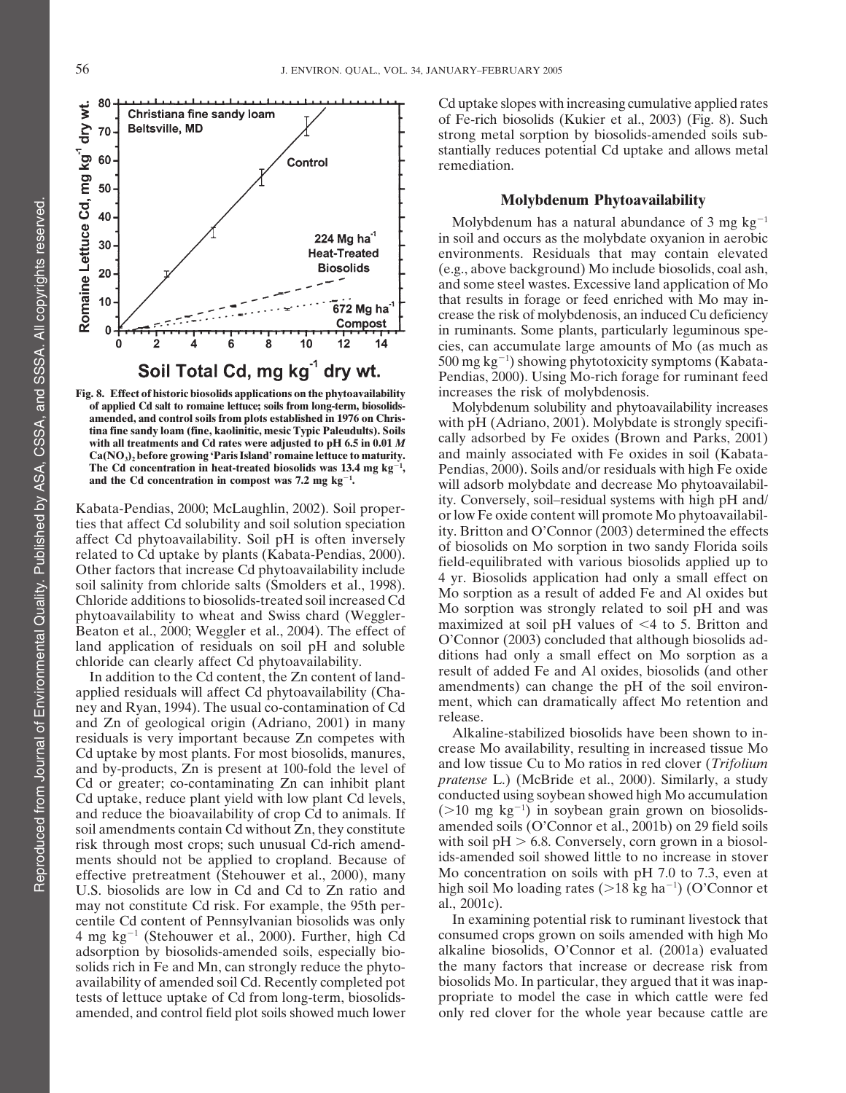

**Fig. 8. Effect of historic biosolids applications on the phytoavailability** increases the risk of molybdenosis. **The Cd concentration in heat-treated biosolids was 13.4 mg kg**-**1** and the Cd concentration in compost was 7.2 mg  $kg^{-1}$ .

Cd uptake, reduce plant yield with low plant Cd levels, effective pretreatment (Stehouwer et al., 2000), many may not constitute Cd risk. For example, the 95th per-<br>
entile Cd content of Pennsylvanian biosolids was only lead in examining potential risk to ruminant livestock that centile Cd content of Pennsylvanian biosolids was only  $I$  $4 \text{ mg} \text{ kg}^{-1}$  (Stehouwer et al., 2000). Further, high Cd solids rich in Fe and Mn, can strongly reduce the phyto-

Cd uptake slopes with increasing cumulative applied rates of Fe-rich biosolids (Kukier et al., 2003) (Fig. 8). Such strong metal sorption by biosolids-amended soils substantially reduces potential Cd uptake and allows metal remediation.

### **Molybdenum Phytoavailability**

Molybdenum has a natural abundance of 3 mg  $kg^{-1}$ in soil and occurs as the molybdate oxyanion in aerobic environments. Residuals that may contain elevated (e.g., above background) Mo include biosolids, coal ash, and some steel wastes. Excessive land application of Mo that results in forage or feed enriched with Mo may increase the risk of molybdenosis, an induced Cu deficiency in ruminants. Some plants, particularly leguminous species, can accumulate large amounts of Mo (as much as 500 mg kg-1 ) showing phytotoxicity symptoms (Kabata-Pendias, 2000). Using Mo-rich forage for ruminant feed

of applied Cd salt to romaine lettuce; soils from long-term, biosolids-<br>
amended, and control soils from plots established in 1976 on Chris-<br>
tina fine sandy loam (fine, kaolinitic, mesic Typic Paleudults). Soils<br>
with pH and mainly associated with Fe oxides in soil (Kabata-Pendias, 2000). Soils and/or residuals with high Fe oxide will adsorb molybdate and decrease Mo phytoavailability. Conversely, soil-residual systems with high pH and/ Kabata-Pendias, 2000; McLaughlin, 2002). Soil proper-<br>
ity. Conversely, soil-residual systems with high pH and/<br>
ties that affect Cd obutyboavailability, soil solution speciation<br>
ity. Britton and O'Connor (2003) determin

residuals is very important because Zn competes with<br>Cd uptake by most plants. For most biosolids, manures,<br>and hy-products Zn is present at 100-fold the level of and low tissue Cu to Mo ratios in red clover (*Trifolium* and by-products, Zn is present at 100-fold the level of and low tissue Cu to Mo ratios in red clover (*Trifolium*<br>Cd or greater: co-contaminating Zn can inhibit plant *pratense* L.) (McBride et al., 2000). Similarly, a stu Cd or greater; co-contaminating Zn can inhibit plant *pratense* L.) (McBride et al., 2000). Similarly, a study<br>Cd untake reduce plant yield with low plant Cd levels conducted using soybean showed high Mo accumulation  $(>10$  mg  $kg^{-1}$ and reduce the bioavailability of crop Cd to animals. If  $(>10 \text{ mg kg}^{-1})$  in soybean grain grown on biosolids-<br>soil amendments contain Cd without Zn, they constitute amended soils (O'Connor et al., 2001b) on 29 field soils ments should not be applied to cropland. Because of ids-amended soil showed little to no increase in stover effective pretreatment (Stehouwer et al., 2000), many Mo concentration on soils with pH 7.0 to 7.3, even at U.S. biosolids are low in Cd and Cd to Zn ratio and  $\qquad$  high soil Mo loading rates (>18 kg ha<sup>-1</sup>) (O'Connor et

consumed crops grown on soils amended with high Mo<br>alkaline biosolids, O'Connor et al. (2001a) evaluated adsorption by biosolids-amended soils, especially bio-<br>solids rich in Fe and Mn, can strongly reduce the phyto-<br>the many factors that increase or decrease risk from availability of amended soil Cd. Recently completed pot biosolids Mo. In particular, they argued that it was inaptests of lettuce uptake of Cd from long-term, biosolids- propriate to model the case in which cattle were fed amended, and control field plot soils showed much lower only red clover for the whole year because cattle are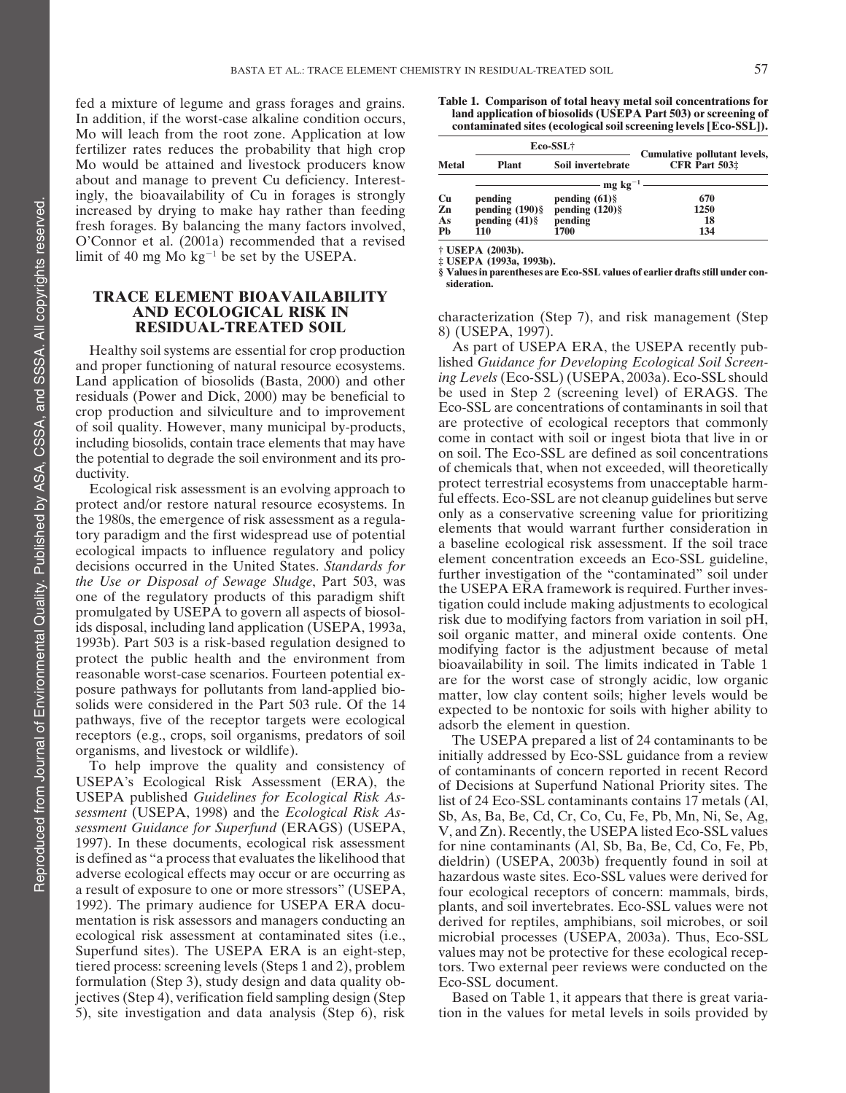fertilizer rates reduces the probability that high crop Mo would be attained and livestock producers know about and manage to prevent Cu deficiency. Interestingly, the bioavailability of Cu in forages is strongly increased by drying to make hay rather than feeding fresh forages. By balancing the many factors involved, O'Connor et al. (2001a) recommended that a revised O'Connor et al. (2001a) recommended that a revised<br>limit of 40 mg Mo kg<sup>-1</sup> be set by the USEPA.<br>**‡ USEPA (1993a, 1993b).** 

# **TRACE ELEMENT BIOAVAILABILITY**

and proper functioning of natural resource ecosystems.<br>Land application of biosolids (Basta 2000) and other *ing Levels* (Eco-SSL) (USEPA, 2003a). Eco-SSL should Land application of biosolids (Basta, 2000) and other *ing Levels* (Eco-SSL) (USEPA, 2003a). Eco-SSL should residuals (Power and Dick 2000) may be beneficial to be used in Step 2 (screening level) of ERAGS. The

formulation (Step 3), study design and data quality ob- Eco-SSL document. jectives (Step 4), verification field sampling design (Step Based on Table 1, it appears that there is great varia-5), site investigation and data analysis (Step 6), risk tion in the values for metal levels in soils provided by

fed a mixture of legume and grass forages and grains.<br>
In addition, if the worst-case alkaline condition occurs,<br>
Mo will leach from the root zone. Application at low<br>
Mo will leach from the root zone. Application at low

| <b>Metal</b> | Eco-SSL+          |                   |                                                         |
|--------------|-------------------|-------------------|---------------------------------------------------------|
|              | <b>Plant</b>      | Soil invertebrate | <b>Cumulative pollutant levels,</b><br>CFR Part $503$ : |
|              |                   |                   |                                                         |
| Cu           | pending           | pending $(61)\$   | 670                                                     |
| Zn           | pending $(190)$ § | pending $(120)$ § | 1250                                                    |
| As           | pending $(41)\$   | pending           | 18                                                      |
| Ph           | 110               | 1700              | 134                                                     |

**§ Values in parentheses are Eco-SSL values of earlier drafts still under con-**

**sideration.**

**AND ECOLOGICAL RISK IN** characterization (Step 7), and risk management (Step **RESIDUAL-TREATED SOIL** 8) (USEPA, 1997).

Healthy soil systems are essential for crop production As part of USEPA ERA, the USEPA recently pub-<br>
dependence for Developing Ecological Soil Screen-<br>
dependence of the Guidance for Developing Ecological Soil Screenresiduals (Power and Dick, 2000) may be beneficial to<br>
be used in Step 2 (screening level) of ERAGS. The<br>
respective to the used in Step 2 (serel in Step 2 (serel in Step 2 (serel in Step 2 (serel of solid quality. However

sessment (USEPA, 1998) and the *Ecological Risk As*-<br>sessment Guidance for Superfund (ERAGS) (USEPA, V, and Zn). Recently, the USEPA listed Eco-SSL values<br>1997). In these documents, ecological risk assessment for nine cont a result of exposure to one or more stressors" (USEPA, four ecological receptors of concern: mammals, birds, 1992). The primary audience for USEPA ERA docu- plants, and soil invertebrates. Eco-SSL values were not mentation is risk assessors and managers conducting an derived for reptiles, amphibians, soil microbes, or soil<br>ecological risk assessment at contaminated sites (i.e., microbial processes (USEPA, 2003a). Thus, Eco-SSL ecological risk assessment at contaminated sites (i.e., microbial processes (USEPA, 2003a). Thus, Eco-SSL<br>Superfund sites). The USEPA ERA is an eight-step, values may not be protective for these ecological recep-Superfund sites). The USEPA ERA is an eight-step, values may not be protective for these ecological receptiered process: screening levels (Steps 1 and 2), problem tors. Two external peer reviews were conducted on the tors. Two external peer reviews were conducted on the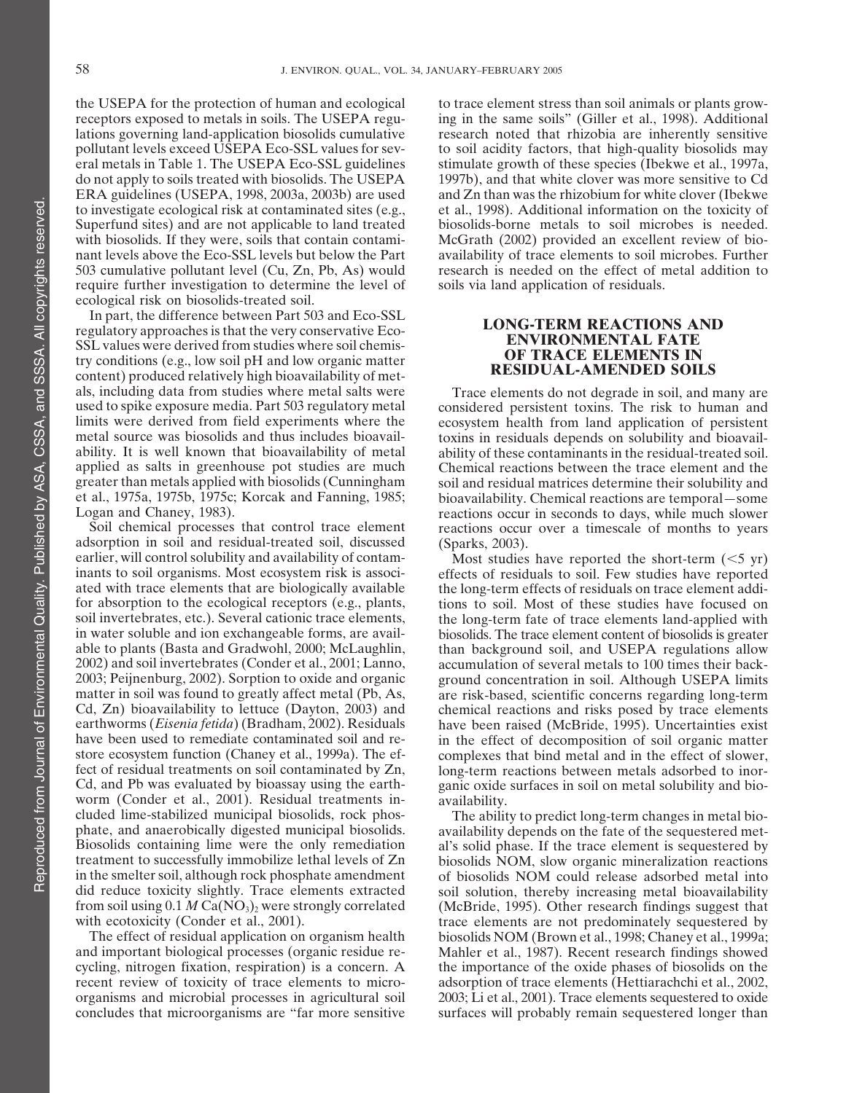the USEPA for the protection of human and ecological to trace element stress than soil animals or plants growpollutant levels exceed USEPA Eco-SSL values for sev- to soil acidity factors, that high-quality biosolids may with biosolids. If they were, soils that contain contami-<br>McGrath (2002) provided an excellent review of bionant levels above the Eco-SSL levels but below the Part availability of trace elements to soil microbes. Further 503 cumulative pollutant level (Cu, Zn, Pb, As) would research is needed on the effect of metal addition to require further investigation to determine the level of soils via land application of residuals. ecological risk on biosolids-treated soil.

In part, the difference between Part 503 and Eco-SSL regulatory approaches is that the very conservative Eco-<br> **LONG-TERM REACTIONS AND**<br>
SSI values were derived from studies where soil chemis. **ENVIRONMENTAL FATE** SSL values were derived from studies where soil chemis-<br> **ENVIRONMENTAL FATE**<br> **OF TRACE ELEMENTS IN** try conditions (e.g., low soil pH and low organic matter **OF TRACE ELEMENTS IN**<br>**RESIDUAL-AMENDED SOILS** content) produced relatively high bioavailability of metals, including data from studies where metal salts were Trace elements do not degrade in soil, and many are

adsorption in soil and residual-treated soil, discussed (Sparks, 2003).<br>earlier, will control solubility and availability of contam- Most studies worm (Conder et al., 2001). Residual treatments in-<br>cluded lime-stabilized municipal biosolids, rock phos-<br>The ability. cluded lime-stabilized municipal biosolids, rock phos-<br>
phate, and anaerobically digested municipal biosolids. Analy availability depends on the fate of the sequestered metin the smelter soil, although rock phosphate amendment

and important biological processes (organic residue re-

receptors exposed to metals in soils. The USEPA regu- ing in the same soils" (Giller et al., 1998). Additional lations governing land-application biosolids cumulative research noted that rhizobia are inherently sensitive eral metals in Table 1. The USEPA Eco-SSL guidelines stimulate growth of these species (Ibekwe et al., 1997a, do not apply to soils treated with biosolids. The USEPA 1997b), and that white clover was more sensitive to Cd ERA guidelines (USEPA, 1998, 2003a, 2003b) are used and Zn than was the rhizobium for white clover (Ibekwe to investigate ecological risk at contaminated sites (e.g., et al., 1998). Additional information on the toxicity of Superfund sites) and are not applicable to land treated biosolids-borne metals to soil microbes is needed. research is needed on the effect of metal addition to

used to spike exposure media. Part 503 regulatory metal considered persistent toxins. The risk to human and limits were derived from field experiments where the ecosystem health from land application of persistent metal source was biosolids and thus includes bioavail-<br>toxins in residuals depends on solubility and bioavailmetal source was biosolids and thus includes bioavail-<br>ability. It is well known that bioavailability of metal ability of these contaminants in the residual-treated soil. ability. It is well known that bioavailability of metal ability of these contaminants in the residual-treated soil.<br>applied as salts in greenhouse pot studies are much Chemical reactions between the trace element and the applied as salts in greenhouse pot studies are much<br>greater than metals applied with biosolids (Cunningham soil and residual matrices determine their solubility and greater than metals applied with biosolids (Cunningham soil and residual matrices determine their solubility and<br>et al., 1975a, 1975b, 1975c; Korcak and Fanning, 1985; bioavailability. Chemical reactions are temporal—some et al., 1975a, 1975b, 1975c; Korcak and Fanning, 1985; bioavailability. Chemical reactions are temporal—some reactions occur in seconds to days, while much slower Soil chemical processes that control trace element reactions occur over a timescale of months to years

Most studies have reported the short-term  $( $5 \text{ yr}$ )$ inants to soil organisms. Most ecosystem risk is associ-<br>ated with trace elements that are biologically available<br>the long-term effects of residuals on trace element addithe long-term effects of residuals on trace element addifor absorption to the ecological receptors (e.g., plants, tions to soil. Most of these studies have focused on soil invertebrates, etc.). Several cationic trace elements, the long-term fate of trace elements land-applied with in water soluble and ion exchangeable forms, are avail-<br>biosolids. The trace element content of biosolids i in water soluble and ion exchangeable forms, are avail-<br>able to plants (Basta and Gradwohl, 2000; McLaughlin, than background soil, and USEPA regulations allow able to plants (Basta and Gradwohl, 2000; McLaughlin, than background soil, and USEPA regulations allow<br>2002) and soil invertebrates (Conder et al., 2001; Lanno, accumulation of several metals to 100 times their back-2002) and soil invertebrates (Conder et al., 2001; Lanno, accumulation of several metals to 100 times their back-<br>2003; Peijnenburg, 2002). Sorption to oxide and organic ground concentration in soil. Although USEPA limits ground concentration in soil. Although USEPA limits matter in soil was found to greatly affect metal (Pb, As, are risk-based, scientific concerns regarding long-term<br>Cd, Zn) bioavailability to lettuce (Dayton, 2003) and chemical reactions and risks posed by trace elements chemical reactions and risks posed by trace elements earthworms (*Eisenia fetida*) (Bradham, 2002). Residuals have been raised (McBride, 1995). Uncertainties exist have been used to remediate contaminated soil and re-<br>have been used to remediate contaminated soil and re-<br>in have been used to remediate contaminated soil and re-<br>store ecosystem function (Chaney et al., 1999a). The ef-<br>complexes that bind metal and in the effect of slower. store ecosystem function (Chaney et al., 1999a). The ef-<br>fect of residual treatments on soil contaminated by Zn, long-term reactions between metals adsorbed to inorfor long-term reactions between metals adsorbed to inor-Cd, and Pb was evaluated by bioassay using the earth- ganic oxide surfaces in soil on metal solubility and bio-

phate, and anaerobically digested municipal biosolids. availability depends on the fate of the sequestered met-<br>Biosolids containing lime were the only remediation al's solid phase. If the trace element is sequestered by Biosolids containing lime were the only remediation al's solid phase. If the trace element is sequestered by treatment to successfully immobilize lethal levels of Zn biosolids NOM, slow organic mineralization reactions biosolids NOM, slow organic mineralization reactions of biosolids NOM could release adsorbed metal into did reduce toxicity slightly. Trace elements extracted soil solution, thereby increasing metal bioavailability from soil using 0.1 *M* Ca(NO<sub>3</sub>)<sub>2</sub> were strongly correlated (McBride, 1995). Other research findings suggest that with ecotoxicity (Conder et al., 2001). trace elements are not predominately sequestered by<br>The effect of residual application on organism health biosolids NOM (Brown et al., 1998; Chanev et al., 1999a; biosolids NOM (Brown et al., 1998; Chaney et al., 1999a; Mahler et al., 1987). Recent research findings showed cycling, nitrogen fixation, respiration) is a concern. A the importance of the oxide phases of biosolids on the recent review of toxicity of trace elements to micro- adsorption of trace elements (Hettiarachchi et al., 2002, organisms and microbial processes in agricultural soil 2003; Li et al., 2001). Trace elements sequestered to oxide concludes that microorganisms are "far more sensitive surfaces will probably remain sequestered longer than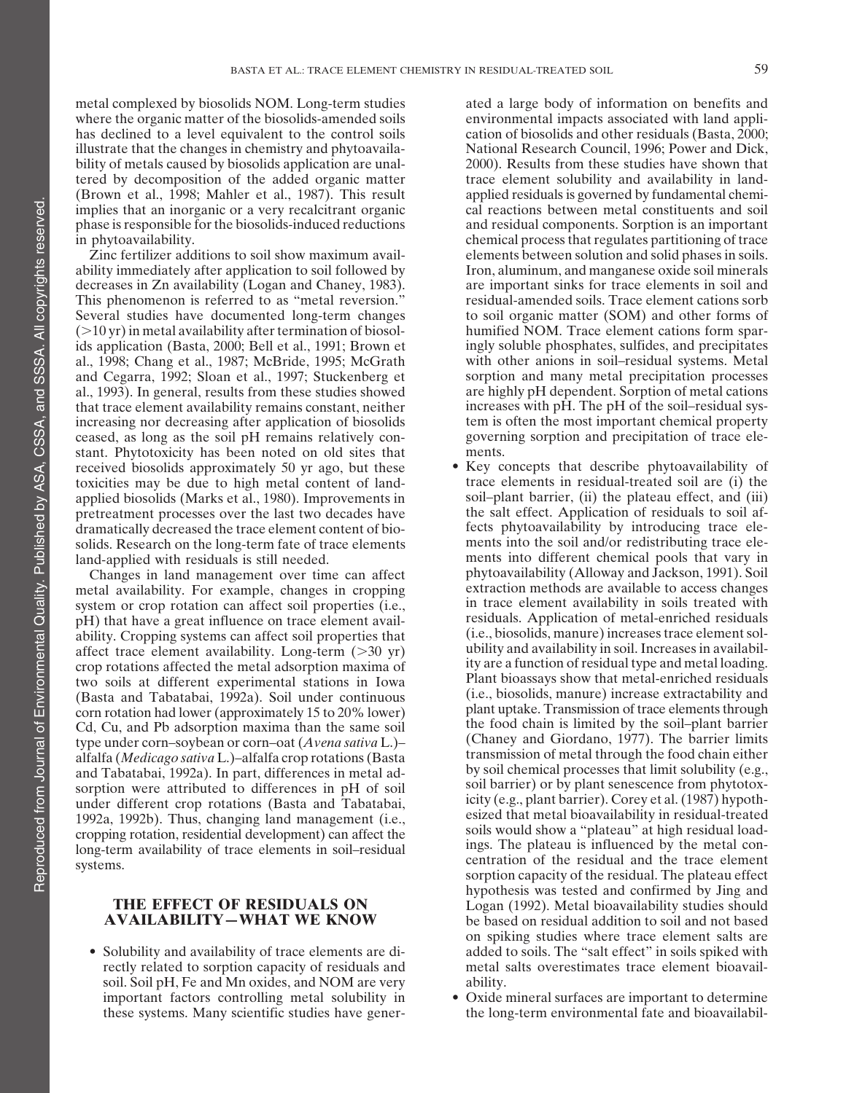metal complexed by biosolids NOM. Long-term studies ated a large body of information on benefits and where the organic matter of the biosolids-amended soils environmental impacts associated with land applihas declined to a level equivalent to the control soils cation of biosolids and other residuals (Basta, 2000; illustrate that the changes in chemistry and phytoavaila- National Research Council, 1996; Power and Dick, bility of metals caused by biosolids application are unal- 2000). Results from these studies have shown that tered by decomposition of the added organic matter trace element solubility and availability in land- (Brown et al., 1998; Mahler et al., 1987). This result applied residuals is governed by fundamental chemiimplies that an inorganic or a very recalcitrant organic cal reactions between metal constituents and soil phase is responsible for the biosolids-induced reductions and residual components. Sorption is an important in phytoavailability.  $\blacksquare$ 

Zinc fertilizer additions to soil show maximum avail- elements between solution and solid phases in soils. ability immediately after application to soil followed by Iron, aluminum, and manganese oxide soil minerals decreases in Zn availability (Logan and Chaney, 1983). are important sinks for trace elements in soil and This phenomenon is referred to as "metal reversion." residual-amended soils. Trace element cations sorb Several studies have documented long-term changes to soil organic matter (SOM) and other forms of  $(>10 \text{ yr})$  in metal availability after termination of biosol- humified NOM. Trace element cations form sparids application (Basta, 2000; Bell et al., 1991; Brown et ingly soluble phosphates, sulfides, and precipitates<br>al., 1998; Chang et al., 1987; McBride, 1995; McGrath with other anions in soil–residual systems. Metal al., 1998; Chang et al., 1987; McBride, 1995; McGrath and Cegarra, 1992; Sloan et al., 1997; Stuckenberg et sorption and many metal precipitation processes al., 1993). In general, results from these studies showed are highly pH dependent. Sorption of metal cations that trace element availability remains constant, neither increases with pH. The pH of the soil–residual sysincreasing nor decreasing after application of biosolids tem is often the most important chemical property ceased, as long as the soil pH remains relatively con- governing sorption and precipitation of trace elestant. Phytotoxicity has been noted on old sites that ments.<br>
received biosolids approximately 50 yr ago, but these • Key concepts that describe phytoavailability of received biosolids approximately 50 yr ago, but these • Key concepts that describe phytoavailability of toxicities may be due to high metal content of land-<br>trace elements in residual-treated soil are (i) the toxicities may be due to high metal content of land-<br>
trace elements in residual-treated soil are (i) the<br>
soil-plant barrier, (ii) the plateau effect, and (iii) applied biosolids (Marks et al., 1980). Improvements in soil–plant barrier, (ii) the plateau effect, and (iii) the plateau effect, and (iii) or the salt effect. Application of residuals to soil afpretreatment processes over the last two decades have the salt effect. Application of residuals to soil af-<br>dramatically decreased the trace element content of bio-<br>fects phytoavailability by introducing trace eledramatically decreased the trace element content of bio-<br>solids Research on the long-term fate of trace elements ments into the soil and/or redistributing trace elesolids. Research on the long-term fate of trace elements

metal availability. For example, changes in cropping extraction methods are available to access changes<br>system or crop rotation can affect soil properties (i.e... in trace element availability in soils treated with system or crop rotation can affect soil properties (i.e., in trace element availability in soils treated with nH) that have a great influence on trace element avail-<br>residuals. Application of metal-enriched residuals pH) that have a great influence on trace element avail-<br>ability Cropping systems can affect soil properties that (i.e., biosolids, manure) increases trace element solability. Cropping systems can affect soil properties that (i.e., biosolids, manure) increases trace element sol-<br>affect trace element availability Long-term (>30 yr) ubility and availability in soil. Increases in availabil affect trace element availability. Long-term  $(>30 \text{ yr})$  ubility and availability in soil. Increases in availabil-<br>crop rotations affected the metal adsorption maxima of ity are a function of residual type and metal loadi two soils at different experimental stations in Iowa<br>(Basta and Tabatabai 1992a) Soil under continuous (i.e., biosolids, manure) increase extractability and (Basta and Tabatabai, 1992a). Soil under continuous (i.e., biosolids, manure) increase extractability and corn rotation had lower (approximately 15 to 20% lower) plant uptake. Transmission of trace elements through corn rotation had lower (approximately 15 to 20% lower) plant uptake. Transmission of trace elements through  $Cd$   $Cu$  and Ph adsorption maxima than the same soil the food chain is limited by the soil-plant barrier Cd, Cu, and Pb adsorption maxima than the same soil the food chain is limited by the soil–plant barrier<br>type under corn–soybean or corn–oat (Avena sativa L)–<br>(Chaney and Giordano, 1977). The barrier limits

rectly related to sorption capacity of residuals and soil. Soil pH, Fe and Mn oxides, and NOM are very ability.

- land-applied with residuals is still needed.<br>
Changes in land management over time can affect phytoavailability (Alloway and Jackson, 1991). Soil Changes in land management over time can affect phytoavailability (Alloway and Jackson, 1991). Soil<br>
etal availability. For example, changes in cropping extraction methods are available to access changes type under corn-soybean or corn-oat (*Avena sativa* L.)— (Chaney and Giordano, 1977). The barrier limits<br>alfalfa (*Medicago sativa* L.)—alfalfa crop rotations (Basta transmission of metal through the food chain either<br>and hypothesis was tested and confirmed by Jing and **THE EFFECT OF RESIDUALS ON** Logan (1992). Metal bioavailability studies should **AVAILABILITY—WHAT WE KNOW** be based on residual addition to soil and not based on spiking studies where trace element salts are • Solubility and availability of trace elements are di-<br>rectly related to sorption capacity of residuals and<br>metal salts overestimates trace element bioavail
	- important factors controlling metal solubility in Oxide mineral surfaces are important to determine these systems. Many scientific studies have gener- the long-term environmental fate and bioavailabil-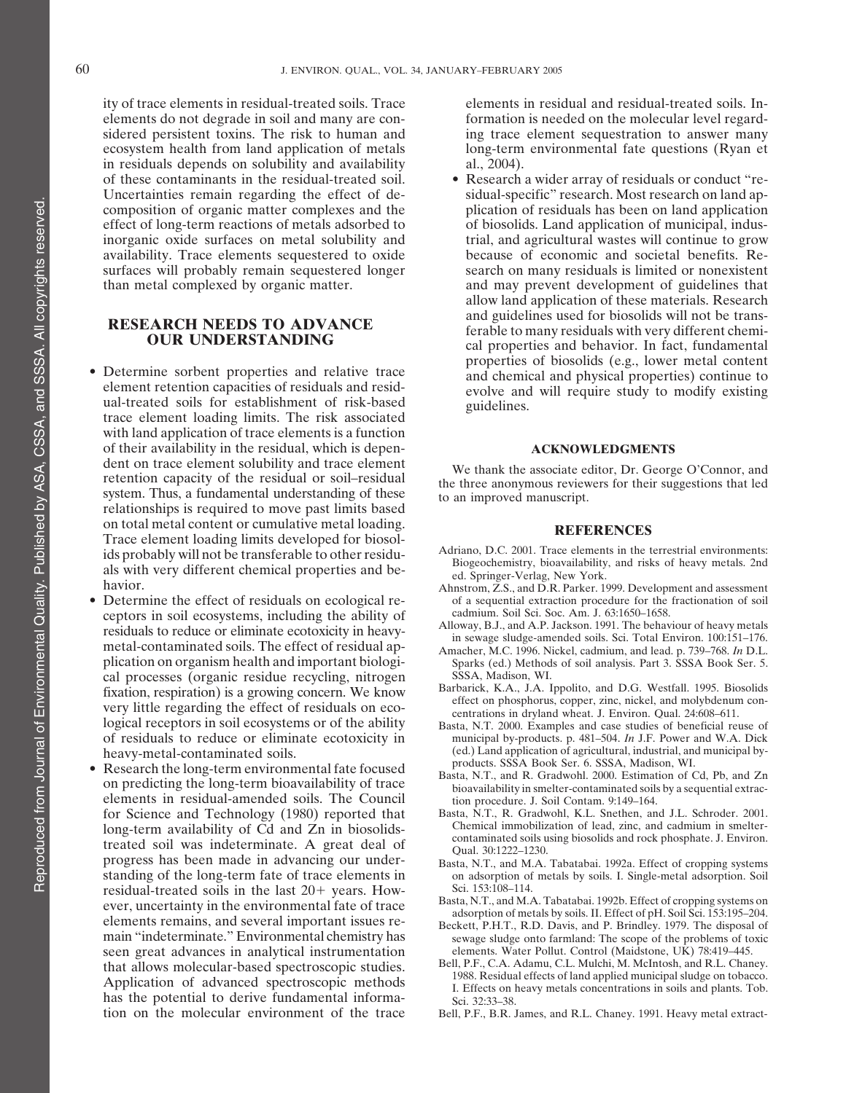ity of trace elements in residual-treated soils. Trace elements in residual and residual-treated soils. Inelements do not degrade in soil and many are con- formation is needed on the molecular level regardsidered persistent toxins. The risk to human and ing trace element sequestration to answer many ecosystem health from land application of metals long-term environmental fate questions (Ryan et in residuals depends on solubility and availability al., 2004). of these contaminants in the residual-treated soil. <br>• Research a wider array of residuals or conduct "re-<br>Uncertainties remain regarding the effect of de-<br>sidual-specific" research. Most research on land ap-Uncertainties remain regarding the effect of desurfaces will probably remain sequestered longer

- with land application of trace elements is a function of their availability in the residual, which is depen- **ACKNOWLEDGMENTS** dent on trace element solubility and trace element<br>retention capacity of the residual or soil-residual<br>system. Thus, a fundamental understanding of these<br>relationships is required to move past limits based<br>relationships is on total metal content or cumulative metal loading.<br>
Trace element loading limits developed for biosol-<br>
ids probably will not be transferable to other residu-<br>
als with very different chemical properties and be-<br>
havior.<br>
- ceptors in soil ecosystems, including the ability of<br>residuals to reduce or eliminate ecotoxicity in heavy-<br>metal-contaminated soils. The effect of residual ap-<br>plication on organism health and important biologi-<br>plication cal processes (organic residue recycling, nitrogen SSSA, Madison, WI.<br>
fixation, respiration) is a growing concern, We know Barbarick, K.A., J.A. Ippolito, and D.G. Westfall. 1995. Biosolids fixation, respiration) is a growing concern. We know<br>very little regarding the effect of residuals on eco-<br>logical receptors in soil ecosystems or of the ability<br>of residuals to reduce or eliminate ecotoxicity in<br>the abili
- Research the long-term environmental fate focused<br>on predicting the long-term bioavailability of trace<br>bioavailability in smelter-contaminated soils by a sequential extrac-<br>bioavailability in smelter-contaminated soils b elements in residual-amended soils. The Council tion procedure. J. Soil Contam. 9:149–164.<br>
for Science and Technology (1980) reported that Basta, N.T., R. Gradwohl, K.L. Snethen, and J.L. Schroder. 2001. long-term availability of Cd and Zn in biosolids-<br>treated soil was indeterminate. A great deal of<br>progress has been made in advancing our under-<br>pasta, N.T., and M.A. Tabatabai. 1992a. Effect of cropping systems residual-treated soils in the last 20+ years. How-<br>
ever, uncertainty in the environmental fate of trace<br>
elements remains, and several important issues re-<br>
main "indeterminate." Environmental chemistry has<br>
associated by seen great advances in analytical instrumentation elements. Water Pollut. Control (Maidstone, UK) 78:419–445.<br>
Hell, P.F., C.A. Adamu, C.L. Mulchi, M. McIntosh, and R.L. Chaney. that allows molecular-based spectroscopic studies.<br>
Application of advanced spectroscopic methods<br>
and P.E., C.A. Adamu, C.L. Mulchi, M. McIntosh, and R.L. Chaney.<br>
1988. Residual effects of land applied municipal sludge o

composition of organic matter complexes and the plication of residuals has been on land application effect of long-term reactions of metals adsorbed to of biosolids. Land application of municipal, indusinorganic oxide surfaces on metal solubility and trial, and agricultural wastes will continue to grow availability. Trace elements sequestered to oxide because of economic and societal benefits. Resurfaces will probably remain sequestered longer search on many residuals is limited or nonexistent than metal complexed by organic matter. and may prevent development of guidelines that allow land application of these materials. Research **RESEARCH NEEDS TO ADVANCE** and guidelines used for biosolids will not be trans-<br> **OUR UNDERSTANDING** cal properties and behavior. In fact, fundamental • Determine sorbent properties and relative trace<br>
element retention capacities of residuals and residuals and residual<br>
ual-treated soils for establishment of risk-based<br>
trace element loading limits. The risk associated<br>

- 
- Determine the effect of residuals on ecological re-<br>
centors in soil ecosystems including the ability of cadmium. Soil Sci. Soc. Am. J. 63:1650–1658.
	-
	- Sparks (ed.) Methods of soil analysis. Part 3. SSSA Book Ser. 5.
	-
	- municipal by-products. p. 481–504. *In* J.F. Power and W.A. Dick heavy-metal-contaminated soils. (ed.) Land application of agricultural, industrial, and municipal by-<br>  $\frac{1}{2}$  Pesearch the long-term environmental foto focused products. SSSA Book Ser. 6. SSSA, Madison, WI.
		-
	- for Science and Technology (1980) reported that Basta, N.T., R. Gradwohl, K.L. Snethen, and J.L. Schroder. 2001.<br>
	Iong-term availability of Cd and Zn in biosolids-<br>
	Chemical immobilization of lead, zinc, and cadmium in sme
	- standing of the long-term fate of trace elements in on adsorption of metals by soils. I. Single-metal adsorption. Soil<br>residual-treated soils in the last  $20+$  years How-<br>Sci. 153:108-114.
		-
		- sewage sludge onto farmland: The scope of the problems of toxic elements. Water Pollut. Control (Maidstone, UK) 78:419-445.
		-
		- Bell, P.F., B.R. James, and R.L. Chaney. 1991. Heavy metal extract-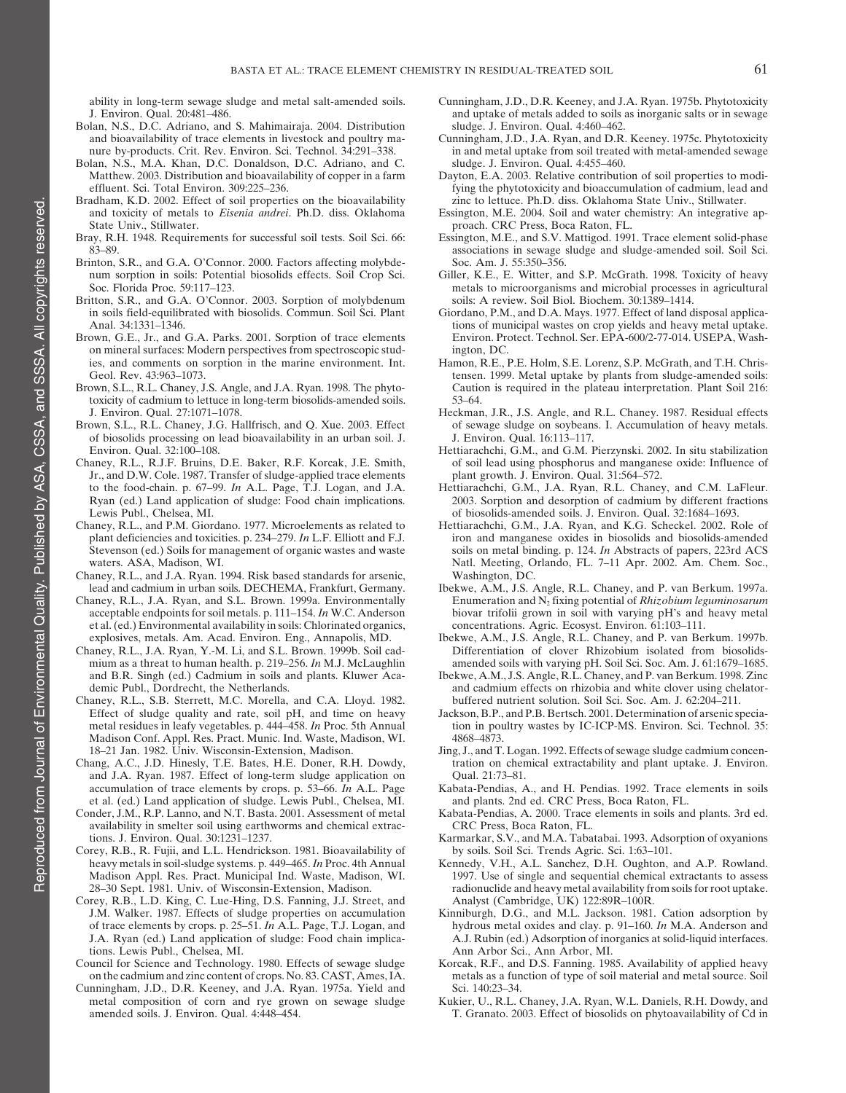- Bolan, N.S., D.C. Adriano, and S. Mahimairaja. 2004. Distribution and bioavailability of trace elements in livestock and poultry ma-
- Bolan, N.S., M.A. Khan, D.C. Donaldson, D.C. Adriano, and C. sludge. J. Environ. Qual. 4:455–460.<br>Matthew. 2003. Distribution and bioavailability of copper in a farm Dayton, E.A. 2003. Relative contribution
- 
- 
- Brinton, S.R., and G.A. O'Connor. 2000. Factors affecting molybdenum sorption in soils: Potential biosolids effects. Soil Crop Sci. Giller, K.E., E. Witter, and S.P. McGrath. 1998. Toxicity of heavy<br>Soc. Florida Proc. 59:117–123. Toxicity of heavy metals to microorganisms and microbial
- Britton, S.R., and G.A. O'Connor. 2003. Sorption of molybdenum in soils field-equilibrated with biosolids. Commun. Soil Sci. Plant Giordano, P.M., and D.A. Mays. 1977. Effect of land disposal applica-
- on mineral surfaces: Modern perspectives from spectroscopic stud- ington, DC. ies, and comments on sorption in the marine environment. Int. Hamon, R.E., P.E. Holm, S.E. Lorenz, S.P. McGrath, and T.H. Chris-
- toxicity of cadmium to lettuce in long-term biosolids-amended soils. 53–64.<br>J. Environ. Qual. 27:1071–1078. Heckman
- Brown, S.L., R.L. Chaney, J.G. Hallfrisch, and Q. Xue. 2003. Effect of biosolids processing on lead bioavailability in an urban soil. J. J. Environ. Qual. 16:113-117.
- Jr., and D.W. Cole. 1987. Transfer of sludge-applied trace elements plant growth. J. Environ. Qual. 31:564–572. to the food-chain. p. 67–99. *In* A.L. Page, T.J. Logan, and J.A. Hettiarachchi, G.M., J.A. Ryan, R.L. Chaney, and C.M. LaFleur. Lewis Publ., Chelsea, MI. (1993). Lewis Publ., Chelsea, MI. (1993). Chaney, R.L., and P.M. Giordano. 1977. Microelements as related to Hettiarachchi, G.M., J.A. Ryan, and K.G. Scheckel. 2002. R
- 
- Chaney, R.L., and J.A. Ryan. 1994. Risk based standards for arsenic,
- acceptable endpoints for soil metals. p. 111-154. *In* W.C. Anderson et al. (ed.) Environmental availability in soils: Chlorinated organics, concentrations. Agric. Ecosyst. Environ. 61:103–111. explosives, metals. Am. Acad. Environ. Eng., Annapolis, MD. Ibekwe, A.M., J.S. Angle, R.L. Chaney
- and B.R. Singh (ed.) Cadmium in soils and plants. Kluwer Aca-<br>demic Publ., Dordrecht, the Netherlands.<br>and cadmium effects on rhizobia and white clover using chelator-
- Chaney, R.L., S.B. Sterrett, M.C. Morella, and C.A. Lloyd. 1982. buffered nutrient solution. Soil Sci. Soc. Am. J. 62:204–211. Effect of sludge quality and rate, soil pH, and time on heavy Jackson, B.P., and P.B. Bertsch. 2001. Determination of arsenic specia-<br>metal residues in leafy vegetables. p. 444–458. In Proc. 5th Annual tion in poultry wast Madison Conf. Appl. Res. Pract. Munic. Ind. Waste, Madison, WI. 4868–4873.<br>18–21 Jan. 1982. Univ. Wisconsin-Extension, Madison. Jing, J., and T.
- and J.A. Ryan. 1987. Effect of long-term sludge application on Qual. 21:73–81.<br>accumulation of trace elements by crops. p. 53–66. In A.L. Page Kabata-Pendias, A., and H. Pendias. 1992. Trace elements in soils accumulation of trace elements by crops. p. 53–66. *In* A.L. Page
- et al. (ed.) Land application of sludge. Lewis Publ., Chelsea, MI. and plants. 2nd ed. CRC Press, Boca Raton, FL. availability in smelter soil using earthworms and chemical extractions. J. Environ. Qual. 30:1231-1237.
- Corey, R.B., R. Fujii, and L.L. Hendrickson. 1981. Bioavailability of by soils. Soil Sci. Trends Agric. Sci. 1:63–101.<br>heavy metals in soil-sludge systems. p. 449–465. In Proc. 4th Annual Kennedy, V.H., A.L. Sanchez, D.H. heavy metals in soil-sludge systems. p. 449-465. In Proc. 4th Annual
- Corey, R.B., L.D. King, C. Lue-Hing, D.S. Fanning, J.J. Street, and J.M. Walker. 1987. Effects of sludge properties on accumulation Kinniburgh, D.G., and M.L. Jackson. 1981. Cation adsorption by of trace elements by crops. p. 25–51. In A.L. Page, T.J. Logan, and hydrous metal oxides and cl
- tions. Lewis Publ., Chelsea, MI. Ann Arbor Sci., Ann Arbor, MI. Ann Arbor Sci., Ann Arbor, MI. Council for Science and Technology. 1980. Effects of sewage sludge Korcak, R.F., and D.S. Fanning. 198
- Cunningham, J.D., D.R. Keeney, and J.A. Ryan. 1975a. Yield and Sci. 140:23–34.<br>metal composition of corn and rye grown on sewage sludge Kukier, U., R.L.
- ability in long-term sewage sludge and metal salt-amended soils. Cunningham, J.D., D.R. Keeney, and J.A. Ryan. 1975b. Phytotoxicity J. Environ. Qual. 20:481-486.<br>
olan, N.S., D.C. Adriano, and S. Mahimairaja. 2004. Distribution sudge. J. Environ. Qual. 4:460-462.
- Cunningham, J.D., J.A. Ryan, and D.R. Keeney. 1975c. Phytotoxicity nure by-products. Crit. Rev. Environ. Sci. Technol. 34:291–338. in and metal uptake from soil treated with metal-amended sewage
- Matthew. 2003. Distribution and bioavailability of copper in a farm Dayton, E.A. 2003. Relative contribution of soil properties to modi-<br>ffluent. Sci. Total Environ. 309:225-236. The phytotoxicity and bioaccumulation of ca fying the phytotoxicity and bioaccumulation of cadmium, lead and Bradham, K.D. 2002. Effect of soil properties on the bioavailability zinc to lettuce. Ph.D. diss. Oklahoma State Univ., Stillwater.
	- and toxicity of metals to *Eisenia andrei*. Ph.D. diss. Oklahoma Essington, M.E. 2004. Soil and water chemistry: An integrative approach. CRC Press, Boca Raton, FL.
- Bray, R.H. 1948. Requirements for successful soil tests. Soil Sci. 66: Essington, M.E., and S.V. Mattigod. 1991. Trace element solid-phase 83–89.<br>
inton, S.R., and G.A. O'Connor. 2000. Factors affecting molybde-<br>
Soc. Am. J. 55:350–356.
	- metals to microorganisms and microbial processes in agricultural soils: A review. Soil Biol. Biochem. 30:1389-1414.
- Anal. 34:1331–1346. tions of municipal wastes on crop yields and heavy metal uptake. Brown, G.E., Jr., and G.A. Parks. 2001. Sorption of trace elements Environ. Protect. Technol. Ser. EPA-600/2-77-014. USEPA, Wash-
- Geol. Rev. 43:963–1073. Tensen. 1999. Metal uptake by plants from sludge-amended soils: Brown, S.L., R.L. Chaney, J.S. Angle, and J.A. Ryan. 1998. The phyto- Caution is required in the plateau interpretation. Plant Soil 216:
	- Heckman, J.R., J.S. Angle, and R.L. Chaney. 1987. Residual effects of sewage sludge on soybeans. I. Accumulation of heavy metals.
- Environ. Qual. 32:100–108. Hettiarachchi, G.M., and G.M. Pierzynski. 2002. In situ stabilization of soil lead using phosphorus and manganese oxide: Influence of
	- Ryan (ed.) Land application of sludge: Food chain implications. 2003. Sorption and desorption of cadmium by different fractions
	- Hettiarachchi, G.M., J.A. Ryan, and K.G. Scheckel. 2002. Role of plant deficiencies and toxicities. p. 234–279. *In* L.F. Elliott and F.J. iron and manganese oxides in biosolids and biosolids-amended<br>Stevenson (ed.) Soils for management of organic wastes and waste soils on metal binding soils on metal binding. p. 124. *In* Abstracts of papers, 223rd ACS waters. ASA, Madison, WI. Natl. Meeting, Orlando, FL. 7–11 Apr. 2002. Am. Chem. Soc., aney, R.L., and J.A. Ryan. 1994. Risk based standards for arsenic, Washington, DC.
- lead and cadmium in urban soils. DECHEMA, Frankfurt, Germany. Ibekwe, A.M., J.S. Angle, R.L. Chaney, and P. van Berkum. 1997a.<br>
aney, R.L., J.A. Ryan, and S.L. Brown. 1999a. Environmentally Enumeration and N<sub>2</sub> fixing pote Chaney, R.L., J.A. Ryan, and S.L. Brown. 1999a. Environmentally Enumeration and N<sub>2</sub> fixing potential of *Rhizobium leguminosarum* acceptable endpoints for soil metals. p. 111–154. In W.C. Anderson biovar trifolii grown in
- Ibekwe, A.M., J.S. Angle, R.L. Chaney, and P. van Berkum. 1997b. Chaney, R.L., J.A. Ryan, Y.-M. Li, and S.L. Brown. 1999b. Soil cad- Differentiation of clover Rhizobium isolated from biosolidsmium as a threat to human health. p. 219–256. *In* M.J. McLaughlin amended soils with varying pH. Soil Sci. Soc. Am. J. 61:1679–1685.
	- and cadmium effects on rhizobia and white clover using chelator-
	- tion in poultry wastes by IC-ICP-MS. Environ. Sci. Technol. 35:
- Jing, J., and T. Logan. 1992. Effects of sewage sludge cadmium concen-Chang, A.C., J.D. Hinesly, T.E. Bates, H.E. Doner, R.H. Dowdy, tration on chemical extractability and plant uptake. J. Environ.
	-
	- Kabata-Pendias, A. 2000. Trace elements in soils and plants. 3rd ed. CRC Press, Boca Raton, FL.
	- Karmarkar, S.V., and M.A. Tabatabai. 1993. Adsorption of oxyanions
	- Madison Appl. Res. Pract. Municipal Ind. Waste, Madison, WI. 1997. Use of single and sequential chemical extractants to assess 28–30 Sept. 1981. Univ. of Wisconsin-Extension, Madison. and include and heavy metal availabili radionuclide and heavy metal availability from soils for root uptake.<br>Analyst (Cambridge, UK) 122:89R-100R.
	- hydrous metal oxides and clay. p. 91–160. *In* M.A. Anderson and J.A. Ryan (ed.) Land application of sludge: Food chain implica- A.J. Rubin (ed.) Adsorption of inorganics at solid-liquid interfaces.
	- ouncil for Science and Technology. 1980. Effects of sewage sludge Korcak, R.F., and D.S. Fanning. 1985. Availability of applied heavy<br>on the cadmium and zinc content of crops. No. 83. CAST, Ames, IA. metals as a function o metals as a function of type of soil material and metal source. Soil
	- Kukier, U., R.L. Chaney, J.A. Ryan, W.L. Daniels, R.H. Dowdy, and amended soils. J. Environ. Qual. 4:448–454. T. Granato. 2003. Effect of biosolids on phytoavailability of Cd in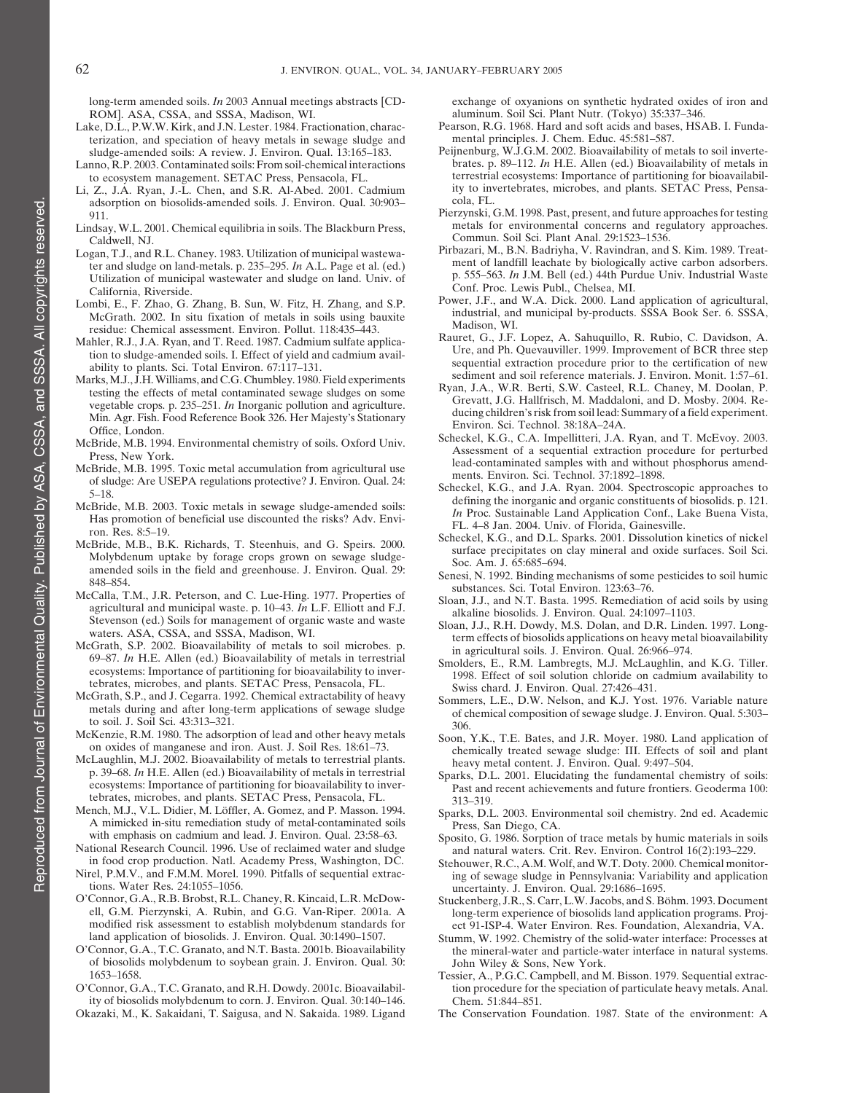- ROM]. ASA, CSSA, and SSSA, Madison, WI. aluminum. Soil Sci. Plant Nutr. (Tokyo) 35:337-346.<br>Lake, D.L., P.W.W. Kirk, and J.N. Lester. 1984. Fractionation, charac-<br>Pearson, R.G. 1968. Hard and soft acids and bases, HSA terization, and speciation of heavy metals in sewage sludge and mental principles. J. Chem. Educ. 45:581–587.<br>
sludge-amended soils: A review. J. Environ. Qual. 13:165–183. Peijnenburg, W.J.G.M. 2002. Bioavailability of me
- Lanno, R.P. 2003. Contaminated soils: From soil-chemical interactions
- Li, Z., J.A. Ryan, J.-L. Chen, and S.R. Al-Abed. 2001. Cadmium ity to invertebration on biosolids-amended soils. I Environ Qual 30:903, cola, FL. adsorption on biosolids-amended soils. J. Environ. Qual. 30:903-
- Lindsay, W.L. 2001. Chemical equilibria in soils. The Blackburn Press, Caldwell, NJ.
- Utilization of municipal wastewater and sludge on land. Univ. of Conf. Proc. Lewis Publ., Chelsea, MI.<br>California, Riverside. California, Riverside. California, Riverside. California, Riverside. California, Riverside. Conf. Proc. Lewis Publ., Chelsea, MI.
- McGrath. 2002. In situ fixation of metals in soils using bauxite industrial, and municipal organization of metals in soils using bauxite Madison, WI. residue: Chemical assessment. Environ. Pollut. 118:435–443.<br>heler R J. J.A. Ryan and T. Reed 1987. Cadmium sulfate applica. Rauret, G., J.F. Lopez, A. Sahuquillo, R. Rubio, C. Davidson, A.
- 
- Marks, M.J., J.H. Williams, and C.G. Chumbley. 1980. Field experiments sediment and soil reference materials. J. Environ. Monit. 1:57–61.<br>testing the effects of metal contaminated sewage sludges on some Ryan, J.A., W.R. Be tesing the effects of metallootatiminate sevange sludges on some<br>
registable crops. P.35-251. *In* Inorganic pollution and agriculture.<br>
Were Revised and the state of the state of metalloon and agriculture.<br>
Mine, Agr. Fi
- 
- 
- 
- 
- 
- 
- 
- 
- McKenzie, R.M. 1980. The adsorption of lead and other heavy metals<br>on, Y.K., T.E. Bates, and J.R. Moyer. 1980. Land application of<br>on oxides of manganese and iron. Aust. J. Soil Res. 18:61–73.<br>McLaughlin, M.J. 2002. Bioava
- Mench, M.J., V.L. Didier, M. Löffler, A. Gomez, and P. Masson. 1994.<br>
A mimicked in-situ remediation study of metal-contaminated soils<br>
with emphasis on cadmium and lead. J. Environ. Qual. 23:58–63.<br>
National Research Coun
- 
- 
- O'Connor, G.A., R.B. Brobst, R.L. Chaney, R. Kincaid, L.R. McDow-<br>ell, G.M. Pierzynski, A. Rubin, and G.G. Van-Riper. 2001a. A long-term experience of biosolids land application programs. Projmodified risk assessment to establish molybdenum standards for land application of biosolids. J. Environ. Qual. 30:1490-1507.
- of biosolids molybdenum to soybean grain. J. Environ. Qual. 30: John Wiley & Sons, New York.<br>1653–1658. Tessier, A., P.G.C. Campbell, and N
- ity of biosolids molybdenum to corn. J. Environ. Qual. 30:140-146.

Okazaki, M., K. Sakaidani, T. Saigusa, and N. Sakaida. 1989. Ligand The Conservation Foundation. 1987. State of the environment: A

long-term amended soils. *In* 2003 Annual meetings abstracts [CD- exchange of oxyanions on synthetic hydrated oxides of iron and ROM]. ASA, CSSA, and SSSA, Madison, WI. aluminum. Soil Sci. Plant Nutr. (Tokyo) 35:337-346.

- Pearson, R.G. 1968. Hard and soft acids and bases, HSAB. I. Funda-<br>mental principles. J. Chem. Educ. 45:581-587.
- sludge-amended soils: A review. J. Environ. Qual. 13:165–183. Peijnenburg, W.J.G.M. 2002. Bioavailability of metals to soil inverte-<br>nno. R.P. 2003. Contaminated soils: From soil-chemical interactions brates. p. 89–112. In to ecosystem management. SETAC Press, Pensacola, FL. terrestrial ecosystems: Importance of partitioning for bioavailabil-<br>Z., J.A. Ryan, J.-L. Chen, and S.R. Al-Abed. 2001. Cadmium ity to invertebrates, microbes, and plant
- 911.<br>
Pierzynski, G.M. 1998. Past, present, and future approaches for testing<br>
retals for environmental concerns and regulatory approaches. Commun. Soil Sci. Plant Anal. 29:1523–1536.<br>Pirbazari, M., B.N. Badriyha, V. Ravindran, and S. Kim. 1989. Treat-
- Logan, T.J., and R.L. Chaney. 1983. Utilization of municipal wastewa-<br>fer and sludge on land-metals n 235–295 *In* A J. Page et al. (ed.) ment of landfill leachate by biologically active carbon adsorbers. ter and sludge on land-metals. p. 235–295. In A.L. Page et al. (ed.) ment of landfill leachate by biologically active carbon adsorbers.<br>Litilization of municipal wastewater and sludge on land Liniy of p. 555–563. In J.M. B
- Lombi, E., F. Zhao, G. Zhang, B. Sun, W. Fitz, H. Zhang, and S.P. Power, J.F., and W.A. Dick. 2000. Land application of agricultural, and the metals in soils using bauxite industrial, and municipal by-products. SSSA Book S
- Mahler, R.J., J.A. Ryan, and T. Reed. 1987. Cadmium sulfate applica-<br>fraction to sludge amonded soils J. Effect of viold and gedmium avail Ure, and Ph. Quevauviller. 1999. Improvement of BCR three step tion to sludge-amended soils. I. Effect of yield and cadmium avail-<br>ability to plants. Sci. Total Environ. 67:117–131.<br>ability to plants. Sci. Total Environ. 67:117–131.<br>ability to plants. Sci. Total Environ. 67:117–131.<br>a
	-
	-
	-
	-
	-
	-
	-
	-
	-
	-
- tebrates, microbes, and plants. SETAC Press, Pensacola, FL.<br>Mench, M.J., V.L. Didier, M. Löffler, A. Gomez, and P. Masson. 1994. Sparks, D.L. 2003. Environmental soil chemistry. 2nd ed. Academic
	-
	-
	-
	- long-term experience of biosolids land application programs. Proj-<br>ect 91-ISP-4. Water Environ. Res. Foundation, Alexandria, VA.
- Stumm, W. 1992. Chemistry of the solid-water interface: Processes at O'Connor, G.A., T.C. Granato, and N.T. Basta. 2001b. Bioavailability the mineral-water and particle-water interface in natural systems.
- 1653–1658.<br>O'Connor, G.A., T.C. Granato, and R.H. Dowdy. 2001c. Bioavailabil-<br>Connor, G.A., T.C. Granato, and R.H. Dowdy. 2001c. Bioavailabil-<br>tion procedure for the speciation of particulate heavy metals. Anal. tion procedure for the speciation of particulate heavy metals. Anal.<br>Chem. 51:844–851.
	-